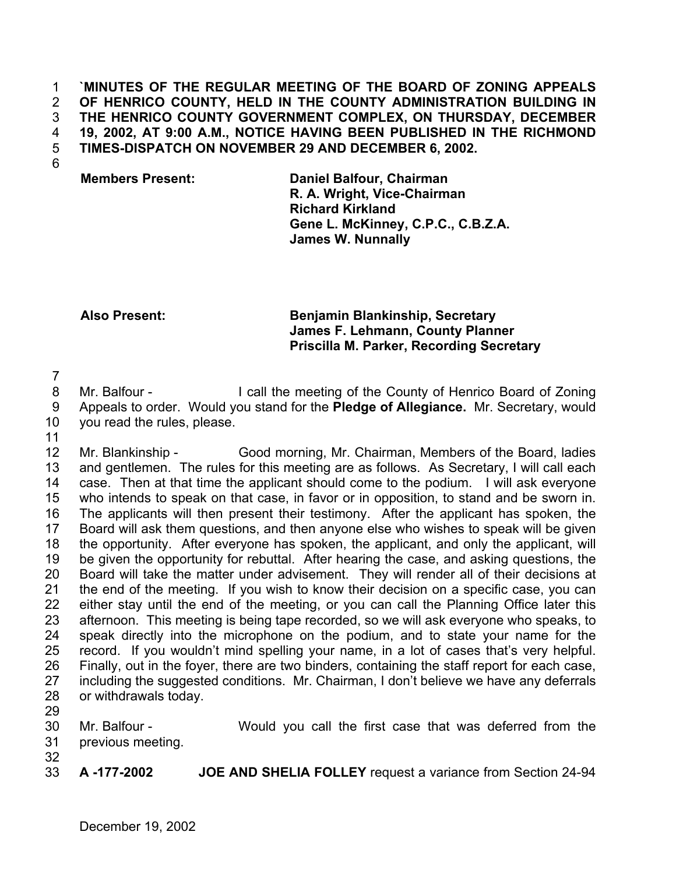### **`MINUTES OF THE REGULAR MEETING OF THE BOARD OF ZONING APPEALS OF HENRICO COUNTY, HELD IN THE COUNTY ADMINISTRATION BUILDING IN THE HENRICO COUNTY GOVERNMENT COMPLEX, ON THURSDAY, DECEMBER 19, 2002, AT 9:00 A.M., NOTICE HAVING BEEN PUBLISHED IN THE RICHMOND TIMES-DISPATCH ON NOVEMBER 29 AND DECEMBER 6, 2002.**  1 2 3 4 5

6

# **Members Present: Daniel Balfour, Chairman R. A. Wright, Vice-Chairman Richard Kirkland Gene L. McKinney, C.P.C., C.B.Z.A. James W. Nunnally**

# **Also Present: Benjamin Blankinship, Secretary James F. Lehmann, County Planner Priscilla M. Parker, Recording Secretary**

7

8 9 10 Mr. Balfour - I call the meeting of the County of Henrico Board of Zoning Appeals to order. Would you stand for the **Pledge of Allegiance.** Mr. Secretary, would you read the rules, please.

11

12 13 14 15 16 17 18 19 20 21 22 23 24 25 26 27 28 Mr. Blankinship - Good morning, Mr. Chairman, Members of the Board, ladies and gentlemen. The rules for this meeting are as follows. As Secretary, I will call each case. Then at that time the applicant should come to the podium. I will ask everyone who intends to speak on that case, in favor or in opposition, to stand and be sworn in. The applicants will then present their testimony. After the applicant has spoken, the Board will ask them questions, and then anyone else who wishes to speak will be given the opportunity. After everyone has spoken, the applicant, and only the applicant, will be given the opportunity for rebuttal. After hearing the case, and asking questions, the Board will take the matter under advisement. They will render all of their decisions at the end of the meeting. If you wish to know their decision on a specific case, you can either stay until the end of the meeting, or you can call the Planning Office later this afternoon. This meeting is being tape recorded, so we will ask everyone who speaks, to speak directly into the microphone on the podium, and to state your name for the record. If you wouldn't mind spelling your name, in a lot of cases that's very helpful. Finally, out in the foyer, there are two binders, containing the staff report for each case, including the suggested conditions. Mr. Chairman, I don't believe we have any deferrals or withdrawals today.

29

30 31 Mr. Balfour - Would you call the first case that was deferred from the previous meeting.

32

33 **A -177-2002 JOE AND SHELIA FOLLEY** request a variance from Section 24-94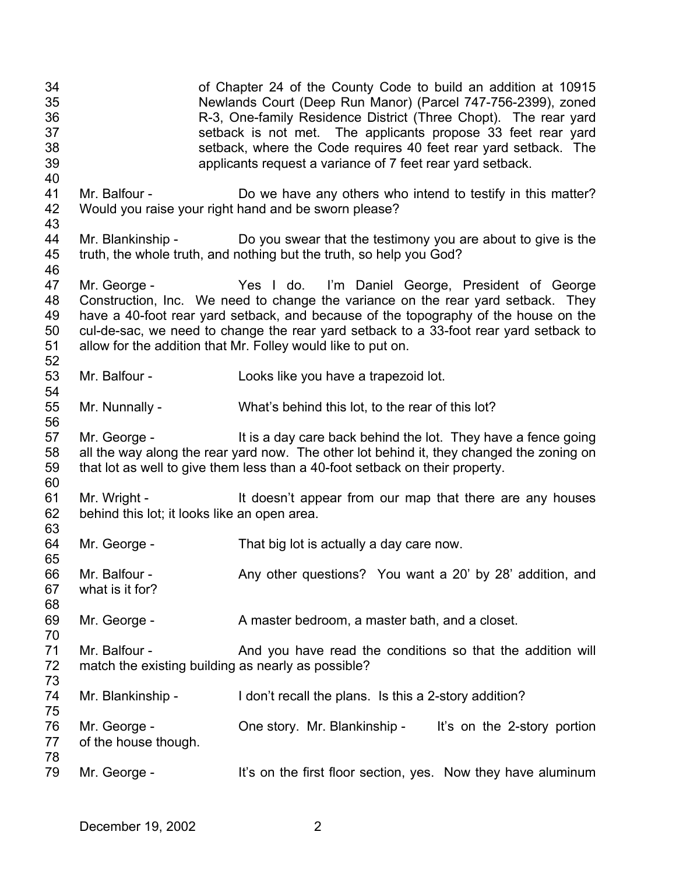34 35 36 37 38 39 40 41 42 43 44 45 46 47 48 49 50 51 52 53 54 55 56 57 58 59 60 61 62 63 64 65 66 67 68 69 70 71 72 73 74 75 76 77 78 79 of Chapter 24 of the County Code to build an addition at 10915 Newlands Court (Deep Run Manor) (Parcel 747-756-2399), zoned R-3, One-family Residence District (Three Chopt). The rear yard setback is not met. The applicants propose 33 feet rear yard setback, where the Code requires 40 feet rear yard setback. The applicants request a variance of 7 feet rear yard setback. Mr. Balfour - Do we have any others who intend to testify in this matter? Would you raise your right hand and be sworn please? Mr. Blankinship - Do you swear that the testimony you are about to give is the truth, the whole truth, and nothing but the truth, so help you God? Mr. George - Yes I do. I'm Daniel George, President of George Construction, Inc. We need to change the variance on the rear yard setback. They have a 40-foot rear yard setback, and because of the topography of the house on the cul-de-sac, we need to change the rear yard setback to a 33-foot rear yard setback to allow for the addition that Mr. Folley would like to put on. Mr. Balfour - Looks like you have a trapezoid lot. Mr. Nunnally - What's behind this lot, to the rear of this lot? Mr. George - It is a day care back behind the lot. They have a fence going all the way along the rear yard now. The other lot behind it, they changed the zoning on that lot as well to give them less than a 40-foot setback on their property. Mr. Wright - The It doesn't appear from our map that there are any houses behind this lot; it looks like an open area. Mr. George - That big lot is actually a day care now. Mr. Balfour - Any other questions? You want a 20' by 28' addition, and what is it for? Mr. George - A master bedroom, a master bath, and a closet. Mr. Balfour - And you have read the conditions so that the addition will match the existing building as nearly as possible? Mr. Blankinship - I don't recall the plans. Is this a 2-story addition? Mr. George - Che story. Mr. Blankinship - It's on the 2-story portion of the house though. Mr. George - It's on the first floor section, yes. Now they have aluminum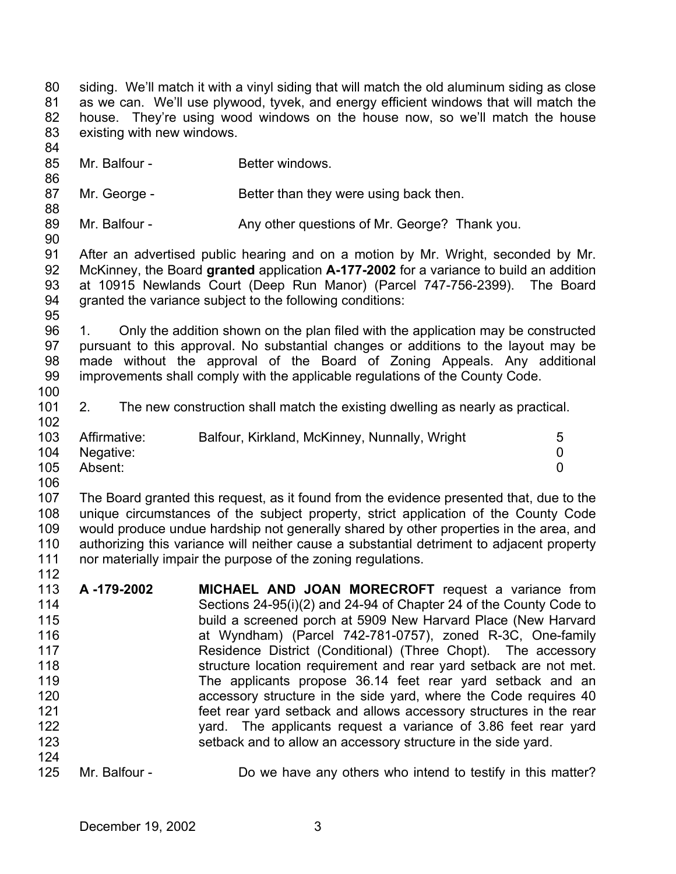81 82 83 84 85 86 87 88 89 90 91 92 93 94 95 96 97 98 99 100 101 102 103 104 105 106 as we can. We'll use plywood, tyvek, and energy efficient windows that will match the house. They're using wood windows on the house now, so we'll match the house existing with new windows. Mr. Balfour - **Better windows.** Mr. George - Better than they were using back then. Mr. Balfour - Any other questions of Mr. George? Thank you. After an advertised public hearing and on a motion by Mr. Wright, seconded by Mr. McKinney, the Board **granted** application **A-177-2002** for a variance to build an addition at 10915 Newlands Court (Deep Run Manor) (Parcel 747-756-2399). The Board granted the variance subject to the following conditions: 1. Only the addition shown on the plan filed with the application may be constructed pursuant to this approval. No substantial changes or additions to the layout may be made without the approval of the Board of Zoning Appeals. Any additional improvements shall comply with the applicable regulations of the County Code. 2. The new construction shall match the existing dwelling as nearly as practical. Affirmative: Balfour, Kirkland, McKinney, Nunnally, Wright 5 Negative: 0 Absent: 0

siding. We'll match it with a vinyl siding that will match the old aluminum siding as close

107 108 109 110 111 112 The Board granted this request, as it found from the evidence presented that, due to the unique circumstances of the subject property, strict application of the County Code would produce undue hardship not generally shared by other properties in the area, and authorizing this variance will neither cause a substantial detriment to adjacent property nor materially impair the purpose of the zoning regulations.

- 113 114 115 116 117 118 119 120 121 122 123 124 **A -179-2002 MICHAEL AND JOAN MORECROFT** request a variance from Sections 24-95(i)(2) and 24-94 of Chapter 24 of the County Code to build a screened porch at 5909 New Harvard Place (New Harvard at Wyndham) (Parcel 742-781-0757), zoned R-3C, One-family Residence District (Conditional) (Three Chopt). The accessory structure location requirement and rear yard setback are not met. The applicants propose 36.14 feet rear yard setback and an accessory structure in the side yard, where the Code requires 40 feet rear yard setback and allows accessory structures in the rear yard. The applicants request a variance of 3.86 feet rear yard setback and to allow an accessory structure in the side yard.
- 125 Mr. Balfour - Do we have any others who intend to testify in this matter?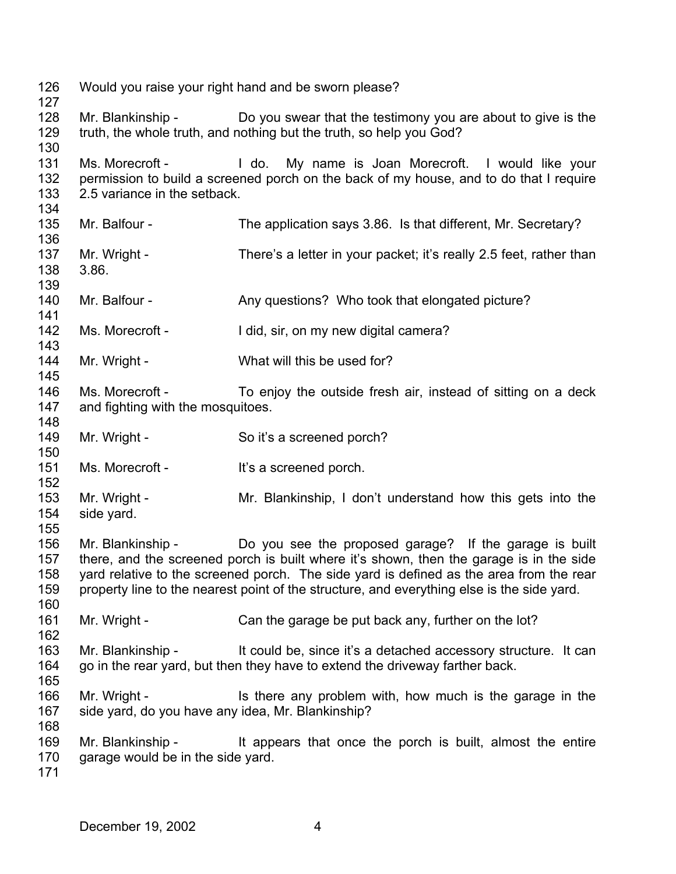Would you raise your right hand and be sworn please? Mr. Blankinship - Do you swear that the testimony you are about to give is the truth, the whole truth, and nothing but the truth, so help you God? Ms. Morecroft - I do. My name is Joan Morecroft. I would like your permission to build a screened porch on the back of my house, and to do that I require 2.5 variance in the setback. Mr. Balfour - The application says 3.86. Is that different, Mr. Secretary? Mr. Wright - There's a letter in your packet; it's really 2.5 feet, rather than 3.86. Mr. Balfour - Any questions? Who took that elongated picture? Ms. Morecroft - I did, sir, on my new digital camera? Mr. Wright - What will this be used for? Ms. Morecroft - To enjoy the outside fresh air, instead of sitting on a deck and fighting with the mosquitoes. Mr. Wright - So it's a screened porch? Ms. Morecroft - It's a screened porch. Mr. Wright - Mr. Blankinship, I don't understand how this gets into the side yard. Mr. Blankinship - Do you see the proposed garage? If the garage is built there, and the screened porch is built where it's shown, then the garage is in the side yard relative to the screened porch. The side yard is defined as the area from the rear property line to the nearest point of the structure, and everything else is the side yard. Mr. Wright - Can the garage be put back any, further on the lot? Mr. Blankinship - It could be, since it's a detached accessory structure. It can go in the rear yard, but then they have to extend the driveway farther back. Mr. Wright - Is there any problem with, how much is the garage in the side yard, do you have any idea, Mr. Blankinship? Mr. Blankinship - It appears that once the porch is built, almost the entire garage would be in the side yard.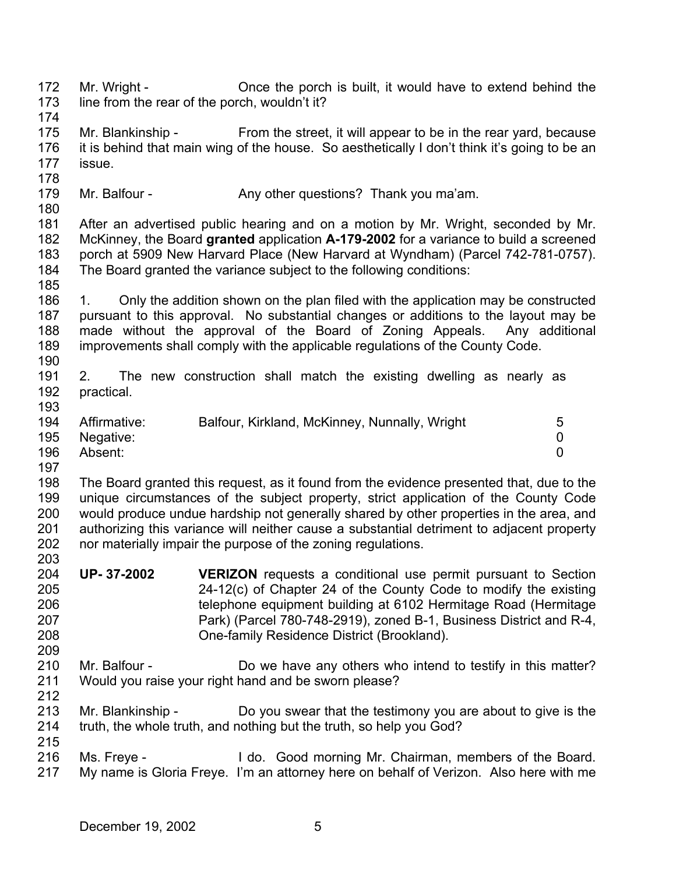172 173 174 Mr. Wright - Once the porch is built, it would have to extend behind the line from the rear of the porch, wouldn't it?

- 175 176 177 Mr. Blankinship - From the street, it will appear to be in the rear yard, because it is behind that main wing of the house. So aesthetically I don't think it's going to be an issue.
- 178
- 179 Mr. Balfour - Any other questions? Thank you ma'am.
- 180

185

181 182 183 184 After an advertised public hearing and on a motion by Mr. Wright, seconded by Mr. McKinney, the Board **granted** application **A-179-2002** for a variance to build a screened porch at 5909 New Harvard Place (New Harvard at Wyndham) (Parcel 742-781-0757). The Board granted the variance subject to the following conditions:

- 186 187 188 189 190 1. Only the addition shown on the plan filed with the application may be constructed pursuant to this approval. No substantial changes or additions to the layout may be made without the approval of the Board of Zoning Appeals. Any additional improvements shall comply with the applicable regulations of the County Code.
- 191 192 193 2. The new construction shall match the existing dwelling as nearly as practical.
- 194 195 196 Affirmative: Balfour, Kirkland, McKinney, Nunnally, Wright 5 Negative: 0 Absent: 0
- 197

198 199 200 201 202 203 The Board granted this request, as it found from the evidence presented that, due to the unique circumstances of the subject property, strict application of the County Code would produce undue hardship not generally shared by other properties in the area, and authorizing this variance will neither cause a substantial detriment to adjacent property nor materially impair the purpose of the zoning regulations.

- 204 205 206 207 208 **UP- 37-2002 VERIZON** requests a conditional use permit pursuant to Section 24-12(c) of Chapter 24 of the County Code to modify the existing telephone equipment building at 6102 Hermitage Road (Hermitage Park) (Parcel 780-748-2919), zoned B-1, Business District and R-4, One-family Residence District (Brookland).
- 209 210 211 Mr. Balfour - Do we have any others who intend to testify in this matter? Would you raise your right hand and be sworn please?
- 212

213 214 Mr. Blankinship - Do you swear that the testimony you are about to give is the truth, the whole truth, and nothing but the truth, so help you God?

215 216 217 Ms. Freye - The Mo. Good morning Mr. Chairman, members of the Board. My name is Gloria Freye. I'm an attorney here on behalf of Verizon. Also here with me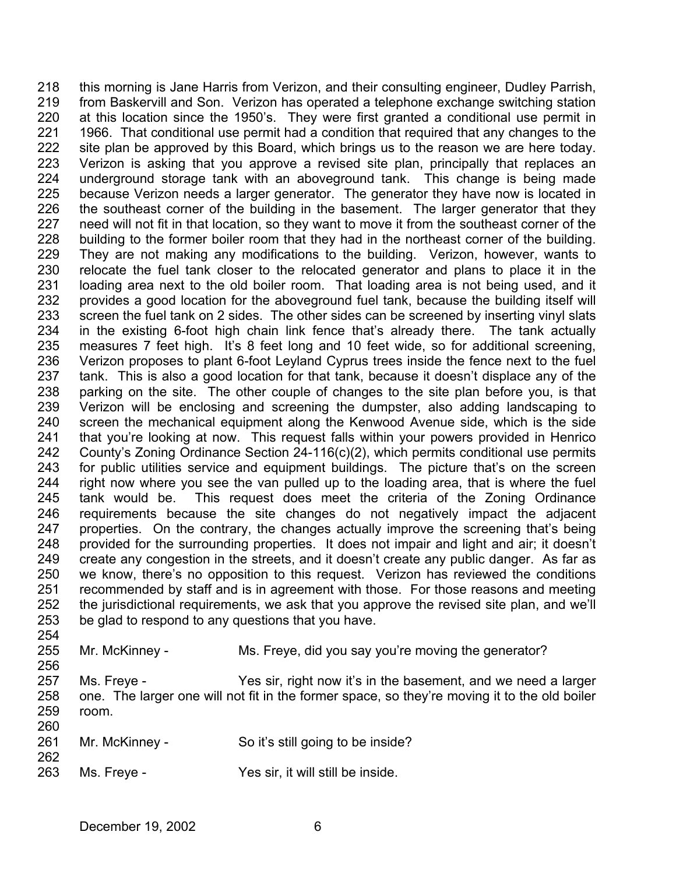218 219 220 221 222 223 224 225 226 227 228 229 230 231 232 233 234 235 236 237 238 239 240 241 242 243 244 245 246 247 248 249 250 251 252 253 254 255 256 this morning is Jane Harris from Verizon, and their consulting engineer, Dudley Parrish, from Baskervill and Son. Verizon has operated a telephone exchange switching station at this location since the 1950's. They were first granted a conditional use permit in 1966. That conditional use permit had a condition that required that any changes to the site plan be approved by this Board, which brings us to the reason we are here today. Verizon is asking that you approve a revised site plan, principally that replaces an underground storage tank with an aboveground tank. This change is being made because Verizon needs a larger generator. The generator they have now is located in the southeast corner of the building in the basement. The larger generator that they need will not fit in that location, so they want to move it from the southeast corner of the building to the former boiler room that they had in the northeast corner of the building. They are not making any modifications to the building. Verizon, however, wants to relocate the fuel tank closer to the relocated generator and plans to place it in the loading area next to the old boiler room. That loading area is not being used, and it provides a good location for the aboveground fuel tank, because the building itself will screen the fuel tank on 2 sides. The other sides can be screened by inserting vinyl slats in the existing 6-foot high chain link fence that's already there. The tank actually measures 7 feet high. It's 8 feet long and 10 feet wide, so for additional screening, Verizon proposes to plant 6-foot Leyland Cyprus trees inside the fence next to the fuel tank. This is also a good location for that tank, because it doesn't displace any of the parking on the site. The other couple of changes to the site plan before you, is that Verizon will be enclosing and screening the dumpster, also adding landscaping to screen the mechanical equipment along the Kenwood Avenue side, which is the side that you're looking at now. This request falls within your powers provided in Henrico County's Zoning Ordinance Section 24-116(c)(2), which permits conditional use permits for public utilities service and equipment buildings. The picture that's on the screen right now where you see the van pulled up to the loading area, that is where the fuel tank would be. This request does meet the criteria of the Zoning Ordinance requirements because the site changes do not negatively impact the adjacent properties. On the contrary, the changes actually improve the screening that's being provided for the surrounding properties. It does not impair and light and air; it doesn't create any congestion in the streets, and it doesn't create any public danger. As far as we know, there's no opposition to this request. Verizon has reviewed the conditions recommended by staff and is in agreement with those. For those reasons and meeting the jurisdictional requirements, we ask that you approve the revised site plan, and we'll be glad to respond to any questions that you have. Mr. McKinney - Ms. Freye, did you say you're moving the generator?

257 258 259 260 Ms. Freye - The Yes sir, right now it's in the basement, and we need a larger one. The larger one will not fit in the former space, so they're moving it to the old boiler room.

| 261 | Mr. McKinney - | So it's still going to be inside? |
|-----|----------------|-----------------------------------|
| 262 |                |                                   |

263 Ms. Freye - Yes sir, it will still be inside.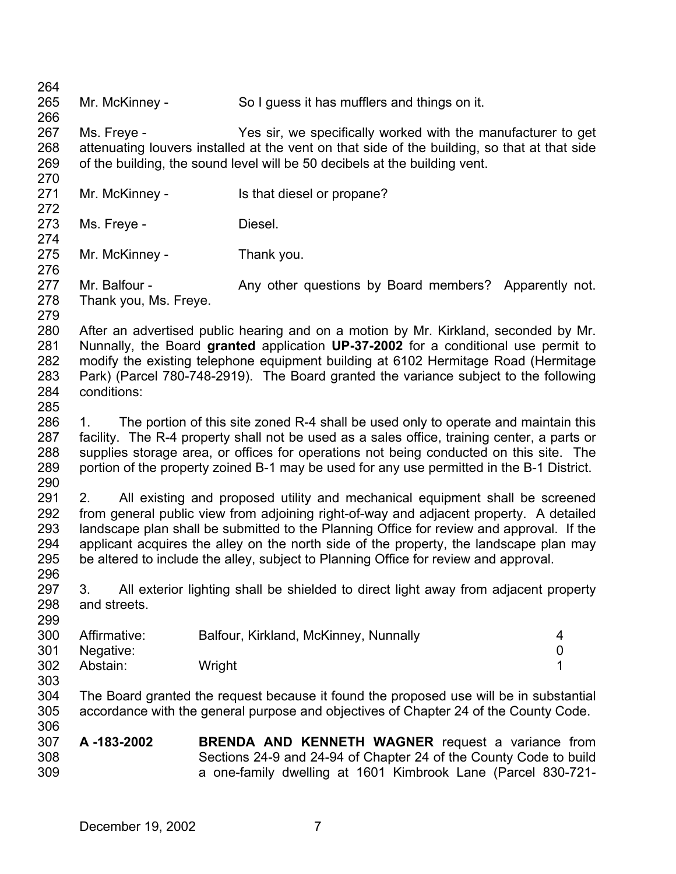264 265 266 267 268 269 270 271 272 273 274 275 276 277 278 279 280 281 282 283 284 285 286 287 288 289 290 291 292 293 294 295 296 297 298 299 300 301 302 303 304 305 306 307 308 309 Mr. McKinney - So I guess it has mufflers and things on it. Ms. Freye - The Yes sir, we specifically worked with the manufacturer to get attenuating louvers installed at the vent on that side of the building, so that at that side of the building, the sound level will be 50 decibels at the building vent. Mr. McKinney - Is that diesel or propane? Ms. Freye - **Diesel.** Mr. McKinney - Thank you. Mr. Balfour - Any other questions by Board members? Apparently not. Thank you, Ms. Freye. After an advertised public hearing and on a motion by Mr. Kirkland, seconded by Mr. Nunnally, the Board **granted** application **UP-37-2002** for a conditional use permit to modify the existing telephone equipment building at 6102 Hermitage Road (Hermitage Park) (Parcel 780-748-2919). The Board granted the variance subject to the following conditions: 1. The portion of this site zoned R-4 shall be used only to operate and maintain this facility. The R-4 property shall not be used as a sales office, training center, a parts or supplies storage area, or offices for operations not being conducted on this site. The portion of the property zoined B-1 may be used for any use permitted in the B-1 District. 2. All existing and proposed utility and mechanical equipment shall be screened from general public view from adjoining right-of-way and adjacent property. A detailed landscape plan shall be submitted to the Planning Office for review and approval. If the applicant acquires the alley on the north side of the property, the landscape plan may be altered to include the alley, subject to Planning Office for review and approval. 3. All exterior lighting shall be shielded to direct light away from adjacent property and streets. Affirmative: Balfour, Kirkland, McKinney, Nunnally 4 Negative: 0 Abstain: Wright 1 The Board granted the request because it found the proposed use will be in substantial accordance with the general purpose and objectives of Chapter 24 of the County Code. **A -183-2002 BRENDA AND KENNETH WAGNER** request a variance from Sections 24-9 and 24-94 of Chapter 24 of the County Code to build a one-family dwelling at 1601 Kimbrook Lane (Parcel 830-721-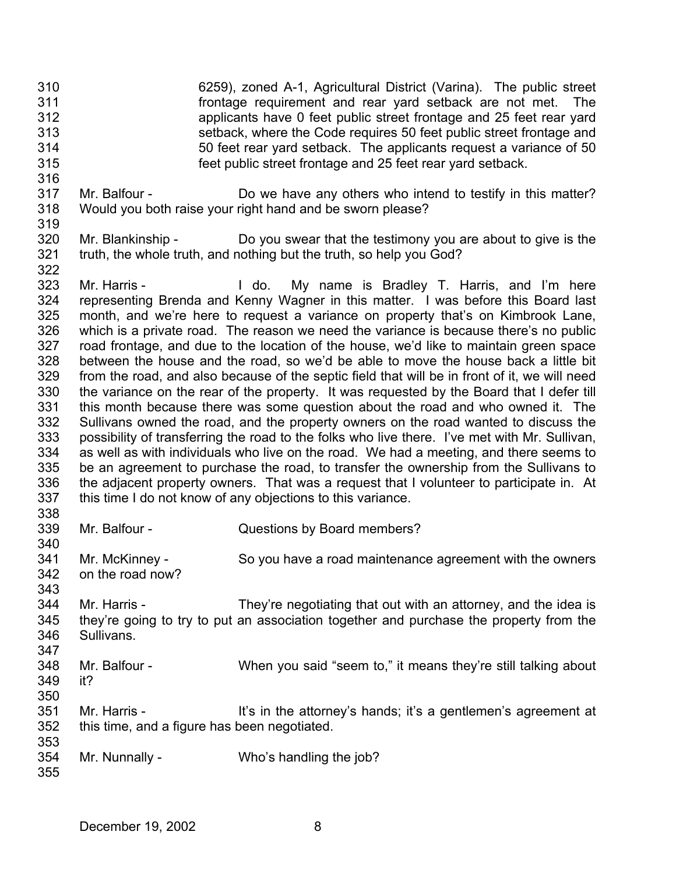- 310 311 312 313 314 315 6259), zoned A-1, Agricultural District (Varina). The public street frontage requirement and rear yard setback are not met. The applicants have 0 feet public street frontage and 25 feet rear yard setback, where the Code requires 50 feet public street frontage and 50 feet rear yard setback. The applicants request a variance of 50 feet public street frontage and 25 feet rear yard setback.
- 317 318 Mr. Balfour - Do we have any others who intend to testify in this matter? Would you both raise your right hand and be sworn please?
- 320 321 Mr. Blankinship - Do you swear that the testimony you are about to give is the truth, the whole truth, and nothing but the truth, so help you God?
- 323 324 325 326 327 328 329 330 331 332 333 334 335 336 337 338 Mr. Harris - The My name is Bradley T. Harris, and I'm here representing Brenda and Kenny Wagner in this matter. I was before this Board last month, and we're here to request a variance on property that's on Kimbrook Lane, which is a private road. The reason we need the variance is because there's no public road frontage, and due to the location of the house, we'd like to maintain green space between the house and the road, so we'd be able to move the house back a little bit from the road, and also because of the septic field that will be in front of it, we will need the variance on the rear of the property. It was requested by the Board that I defer till this month because there was some question about the road and who owned it. The Sullivans owned the road, and the property owners on the road wanted to discuss the possibility of transferring the road to the folks who live there. I've met with Mr. Sullivan, as well as with individuals who live on the road. We had a meeting, and there seems to be an agreement to purchase the road, to transfer the ownership from the Sullivans to the adjacent property owners. That was a request that I volunteer to participate in. At this time I do not know of any objections to this variance.
- 339 Mr. Balfour - Questions by Board members?
- 341 342 Mr. McKinney - So you have a road maintenance agreement with the owners on the road now?
- 344 345 346 347 Mr. Harris - They're negotiating that out with an attorney, and the idea is they're going to try to put an association together and purchase the property from the Sullivans.
- 348 349 350 Mr. Balfour - When you said "seem to," it means they're still talking about it?
- 351 352 353 Mr. Harris - It's in the attorney's hands; it's a gentlemen's agreement at this time, and a figure has been negotiated.
- 354 Mr. Nunnally - Who's handling the job?
	- December 19, 2002 8

316

319

322

340

343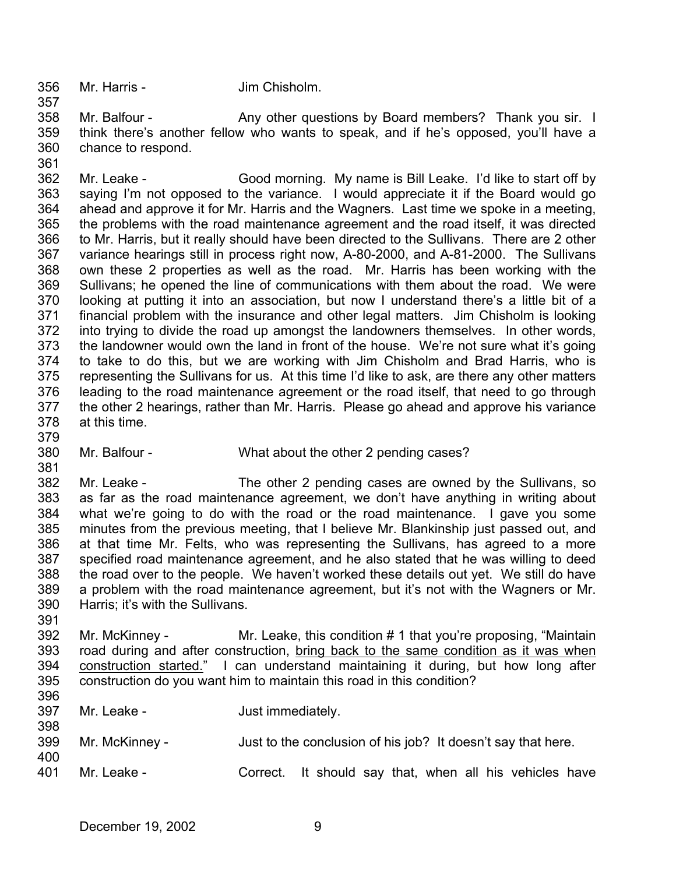356 Mr. Harris - Jim Chisholm.

357

361

379

381

391

400

358 359 360 Mr. Balfour - Any other questions by Board members? Thank you sir. I think there's another fellow who wants to speak, and if he's opposed, you'll have a chance to respond.

362 363 364 365 366 367 368 369 370 371 372 373 374 375 376 377 378 Mr. Leake - Good morning. My name is Bill Leake. I'd like to start off by saying I'm not opposed to the variance. I would appreciate it if the Board would go ahead and approve it for Mr. Harris and the Wagners. Last time we spoke in a meeting, the problems with the road maintenance agreement and the road itself, it was directed to Mr. Harris, but it really should have been directed to the Sullivans. There are 2 other variance hearings still in process right now, A-80-2000, and A-81-2000. The Sullivans own these 2 properties as well as the road. Mr. Harris has been working with the Sullivans; he opened the line of communications with them about the road. We were looking at putting it into an association, but now I understand there's a little bit of a financial problem with the insurance and other legal matters. Jim Chisholm is looking into trying to divide the road up amongst the landowners themselves. In other words, the landowner would own the land in front of the house. We're not sure what it's going to take to do this, but we are working with Jim Chisholm and Brad Harris, who is representing the Sullivans for us. At this time I'd like to ask, are there any other matters leading to the road maintenance agreement or the road itself, that need to go through the other 2 hearings, rather than Mr. Harris. Please go ahead and approve his variance at this time.

380 Mr. Balfour - What about the other 2 pending cases?

382 383 384 385 386 387 388 389 390 Mr. Leake - The other 2 pending cases are owned by the Sullivans, so as far as the road maintenance agreement, we don't have anything in writing about what we're going to do with the road or the road maintenance. I gave you some minutes from the previous meeting, that I believe Mr. Blankinship just passed out, and at that time Mr. Felts, who was representing the Sullivans, has agreed to a more specified road maintenance agreement, and he also stated that he was willing to deed the road over to the people. We haven't worked these details out yet. We still do have a problem with the road maintenance agreement, but it's not with the Wagners or Mr. Harris; it's with the Sullivans.

- 392 Mr. McKinney - Mr. Leake, this condition # 1 that you're proposing, "Maintain road during and after construction, bring back to the same condition as it was when construction started." I can understand maintaining it during, but how long after construction do you want him to maintain this road in this condition? 393 394 395 396
- 397 398 Mr. Leake - Just immediately.
- 399 Mr. McKinney - Just to the conclusion of his job? It doesn't say that here.
- 401 Mr. Leake - Correct. It should say that, when all his vehicles have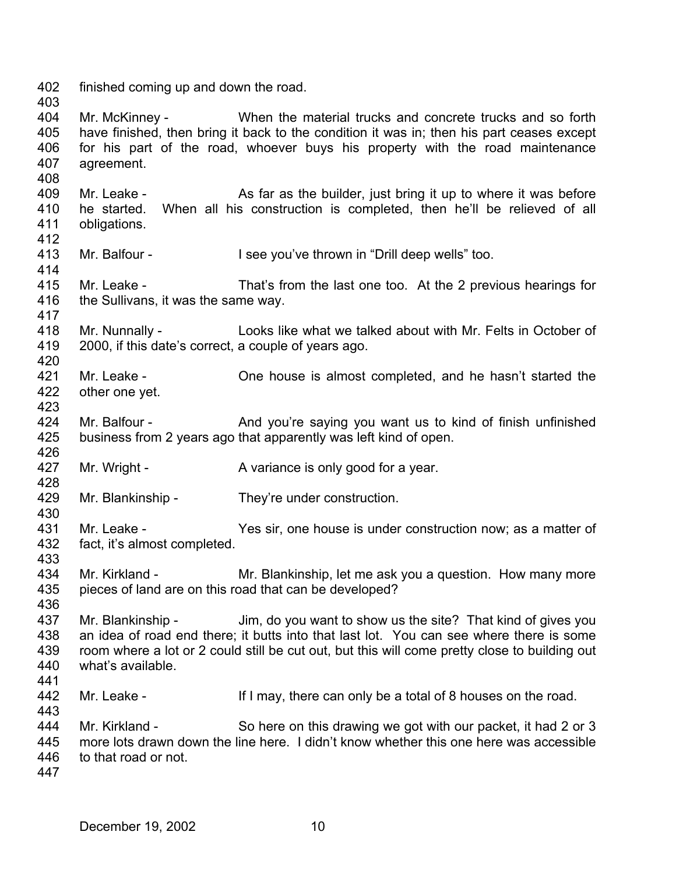402 403 finished coming up and down the road.

404 405 406 407 Mr. McKinney - When the material trucks and concrete trucks and so forth have finished, then bring it back to the condition it was in; then his part ceases except for his part of the road, whoever buys his property with the road maintenance agreement.

409 410 411 412 Mr. Leake - As far as the builder, just bring it up to where it was before he started. When all his construction is completed, then he'll be relieved of all obligations.

413 Mr. Balfour - I see you've thrown in "Drill deep wells" too.

415 416 417 Mr. Leake - That's from the last one too. At the 2 previous hearings for the Sullivans, it was the same way.

418 419 Mr. Nunnally - Looks like what we talked about with Mr. Felts in October of 2000, if this date's correct, a couple of years ago.

- 421 422 Mr. Leake - Che house is almost completed, and he hasn't started the other one yet.
- 424 425 426 Mr. Balfour - And you're saying you want us to kind of finish unfinished business from 2 years ago that apparently was left kind of open.
- 427 Mr. Wright - A variance is only good for a year.
- 429 Mr. Blankinship - They're under construction.
- 431 432 Mr. Leake - Yes sir, one house is under construction now; as a matter of fact, it's almost completed.
- 433 434 435 Mr. Kirkland - Mr. Blankinship, let me ask you a question. How many more pieces of land are on this road that can be developed?
- 437 438 439 440 441 Mr. Blankinship - Jim, do you want to show us the site? That kind of gives you an idea of road end there; it butts into that last lot. You can see where there is some room where a lot or 2 could still be cut out, but this will come pretty close to building out what's available.
- 442 Mr. Leake - If I may, there can only be a total of 8 houses on the road.
- 444 445 446 Mr. Kirkland - So here on this drawing we got with our packet, it had 2 or 3 more lots drawn down the line here. I didn't know whether this one here was accessible to that road or not.
- 447

443

408

414

420

423

428

430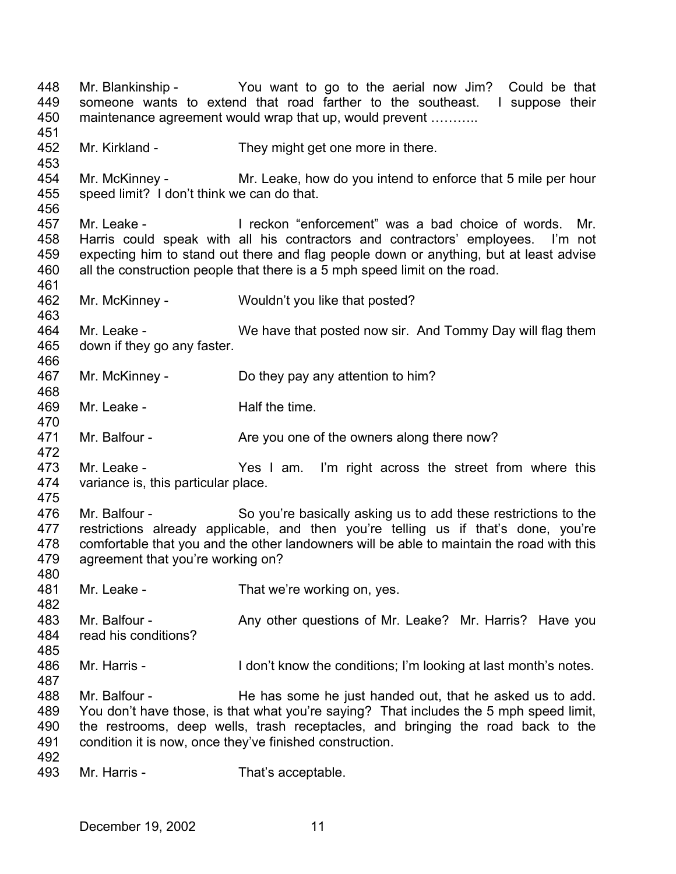448 449 450 451 452 453 454 455 456 457 458 459 460 461 462 463 464 465 466 467 468 469 470 471 472 473 474 475 476 477 478 479 480 481 482 483 484 485 486 487 488 489 490 491 492 493 Mr. Blankinship - You want to go to the aerial now Jim? Could be that someone wants to extend that road farther to the southeast. I suppose their maintenance agreement would wrap that up, would prevent ........... Mr. Kirkland - They might get one more in there. Mr. McKinney - Mr. Leake, how do you intend to enforce that 5 mile per hour speed limit? I don't think we can do that. Mr. Leake - I reckon "enforcement" was a bad choice of words. Mr. Harris could speak with all his contractors and contractors' employees. I'm not expecting him to stand out there and flag people down or anything, but at least advise all the construction people that there is a 5 mph speed limit on the road. Mr. McKinney - Wouldn't you like that posted? Mr. Leake - We have that posted now sir. And Tommy Day will flag them down if they go any faster. Mr. McKinney - Do they pay any attention to him? Mr. Leake - The Half the time. Mr. Balfour - Are you one of the owners along there now? Mr. Leake - The Yes I am. I'm right across the street from where this variance is, this particular place. Mr. Balfour - So you're basically asking us to add these restrictions to the restrictions already applicable, and then you're telling us if that's done, you're comfortable that you and the other landowners will be able to maintain the road with this agreement that you're working on? Mr. Leake - That we're working on, yes. Mr. Balfour - The Any other questions of Mr. Leake? Mr. Harris? Have you read his conditions? Mr. Harris - I don't know the conditions; I'm looking at last month's notes. Mr. Balfour - He has some he just handed out, that he asked us to add. You don't have those, is that what you're saying? That includes the 5 mph speed limit, the restrooms, deep wells, trash receptacles, and bringing the road back to the condition it is now, once they've finished construction. Mr. Harris - That's acceptable.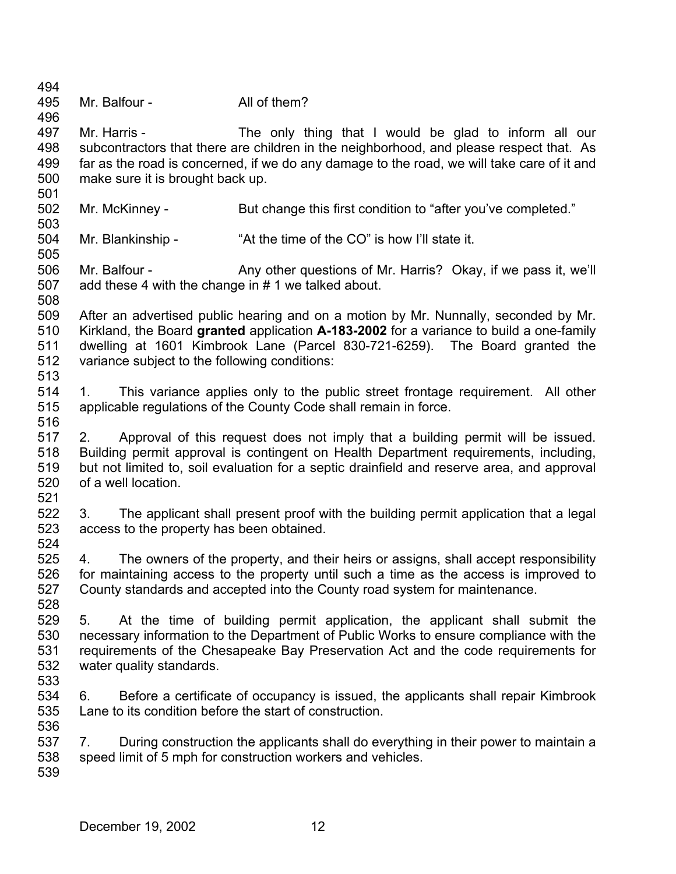| 494<br>495                             | Mr. Balfour -                                                                                                                                                                                                                                                                                      | All of them?                                                                                                                                                                                                                                                  |  |  |  |  |
|----------------------------------------|----------------------------------------------------------------------------------------------------------------------------------------------------------------------------------------------------------------------------------------------------------------------------------------------------|---------------------------------------------------------------------------------------------------------------------------------------------------------------------------------------------------------------------------------------------------------------|--|--|--|--|
| 496<br>497<br>498<br>499<br>500<br>501 | Mr. Harris -<br>The only thing that I would be glad to inform all our<br>subcontractors that there are children in the neighborhood, and please respect that. As<br>far as the road is concerned, if we do any damage to the road, we will take care of it and<br>make sure it is brought back up. |                                                                                                                                                                                                                                                               |  |  |  |  |
| 502<br>503                             | Mr. McKinney -                                                                                                                                                                                                                                                                                     | But change this first condition to "after you've completed."                                                                                                                                                                                                  |  |  |  |  |
| 504<br>505                             | Mr. Blankinship -                                                                                                                                                                                                                                                                                  | "At the time of the CO" is how I'll state it.                                                                                                                                                                                                                 |  |  |  |  |
| 506<br>507<br>508                      | Mr. Balfour -<br>add these 4 with the change in #1 we talked about.                                                                                                                                                                                                                                | Any other questions of Mr. Harris? Okay, if we pass it, we'll                                                                                                                                                                                                 |  |  |  |  |
| 509<br>510<br>511<br>512<br>513        | variance subject to the following conditions:                                                                                                                                                                                                                                                      | After an advertised public hearing and on a motion by Mr. Nunnally, seconded by Mr.<br>Kirkland, the Board granted application A-183-2002 for a variance to build a one-family<br>dwelling at 1601 Kimbrook Lane (Parcel 830-721-6259). The Board granted the |  |  |  |  |
| 514<br>515<br>516                      | 1.                                                                                                                                                                                                                                                                                                 | This variance applies only to the public street frontage requirement. All other<br>applicable regulations of the County Code shall remain in force.                                                                                                           |  |  |  |  |
| 517<br>518<br>519<br>520<br>521        | Approval of this request does not imply that a building permit will be issued.<br>2.<br>Building permit approval is contingent on Health Department requirements, including,<br>but not limited to, soil evaluation for a septic drainfield and reserve area, and approval<br>of a well location.  |                                                                                                                                                                                                                                                               |  |  |  |  |
| 522<br>523<br>524                      | 3.<br>access to the property has been obtained.                                                                                                                                                                                                                                                    | The applicant shall present proof with the building permit application that a legal                                                                                                                                                                           |  |  |  |  |
| 525<br>526<br>527<br>528               | 4.                                                                                                                                                                                                                                                                                                 | The owners of the property, and their heirs or assigns, shall accept responsibility<br>for maintaining access to the property until such a time as the access is improved to<br>County standards and accepted into the County road system for maintenance.    |  |  |  |  |
| 529<br>530<br>531<br>532<br>533        | 5.<br>water quality standards.                                                                                                                                                                                                                                                                     | At the time of building permit application, the applicant shall submit the<br>necessary information to the Department of Public Works to ensure compliance with the<br>requirements of the Chesapeake Bay Preservation Act and the code requirements for      |  |  |  |  |
| 534<br>535<br>536                      | 6.<br>Lane to its condition before the start of construction.                                                                                                                                                                                                                                      | Before a certificate of occupancy is issued, the applicants shall repair Kimbrook                                                                                                                                                                             |  |  |  |  |
| 537<br>538<br>539                      | 7.                                                                                                                                                                                                                                                                                                 | During construction the applicants shall do everything in their power to maintain a<br>speed limit of 5 mph for construction workers and vehicles.                                                                                                            |  |  |  |  |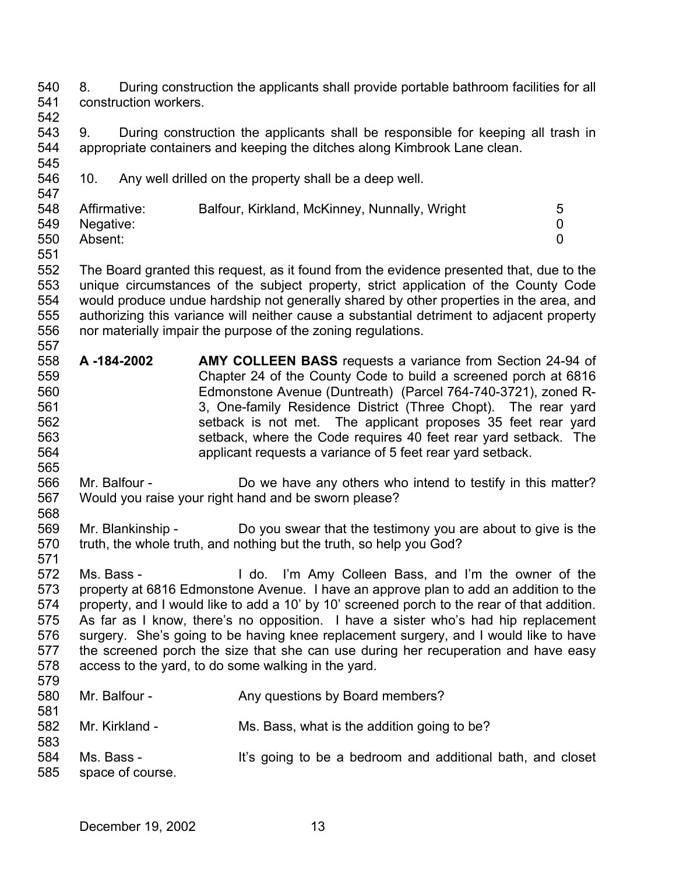540 541 8. During construction the applicants shall provide portable bathroom facilities for all construction workers.

542

545

543 544 9. During construction the applicants shall be responsible for keeping all trash in appropriate containers and keeping the ditches along Kimbrook Lane clean.

546 547 10. Any well drilled on the property shall be a deep well.

| 548 | Affirmative:  | Balfour, Kirkland, McKinney, Nunnally, Wright |  |
|-----|---------------|-----------------------------------------------|--|
|     | 549 Negative: |                                               |  |
| 550 | Absent:       |                                               |  |

551

552 553 554 555 556 557 The Board granted this request, as it found from the evidence presented that, due to the unique circumstances of the subject property, strict application of the County Code would produce undue hardship not generally shared by other properties in the area, and authorizing this variance will neither cause a substantial detriment to adjacent property nor materially impair the purpose of the zoning regulations.

- 558 559 560 561 562 563 564 **A -184-2002 AMY COLLEEN BASS** requests a variance from Section 24-94 of Chapter 24 of the County Code to build a screened porch at 6816 Edmonstone Avenue (Duntreath) (Parcel 764-740-3721), zoned R-3, One-family Residence District (Three Chopt). The rear yard setback is not met. The applicant proposes 35 feet rear yard setback, where the Code requires 40 feet rear yard setback. The applicant requests a variance of 5 feet rear yard setback.
- 565 566 567 568 Mr. Balfour - **Do** we have any others who intend to testify in this matter? Would you raise your right hand and be sworn please?
- 569 570 Mr. Blankinship - Do you swear that the testimony you are about to give is the truth, the whole truth, and nothing but the truth, so help you God?
- 571 572 573 574 575 576 577 578 Ms. Bass - I do. I'm Amy Colleen Bass, and I'm the owner of the property at 6816 Edmonstone Avenue. I have an approve plan to add an addition to the property, and I would like to add a 10' by 10' screened porch to the rear of that addition. As far as I know, there's no opposition. I have a sister who's had hip replacement surgery. She's going to be having knee replacement surgery, and I would like to have the screened porch the size that she can use during her recuperation and have easy access to the yard, to do some walking in the yard.
- 579
- 580 581 Mr. Balfour - Any questions by Board members?
- 582 Mr. Kirkland - Ms. Bass, what is the addition going to be?
- 583 584 585 Ms. Bass - It's going to be a bedroom and additional bath, and closet space of course.
	- December 19, 2002 13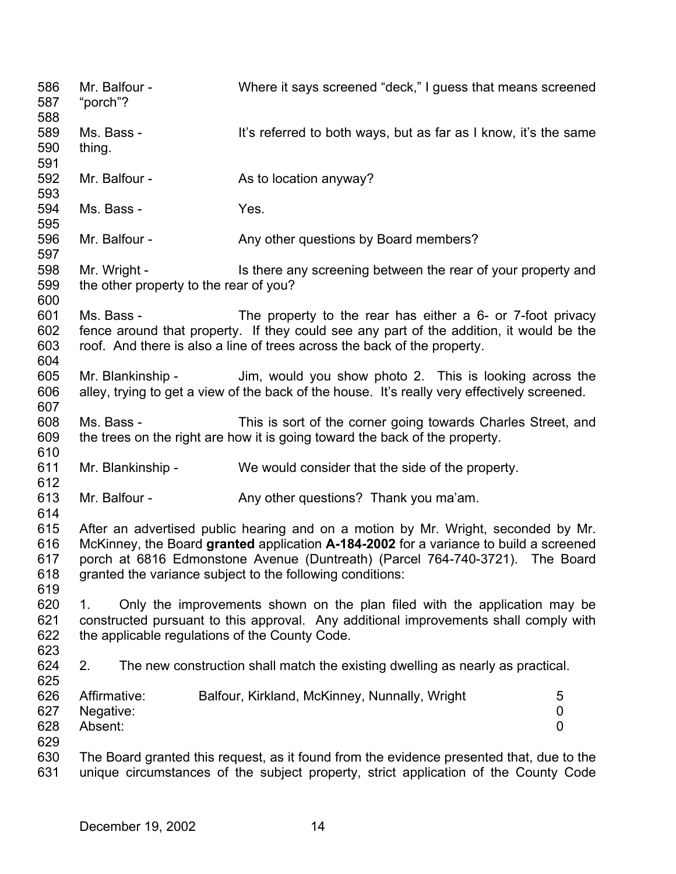586 587 588 589 590 591 592 593 594 595 596 597 598 599 600 601 602 603 604 605 606 607 608 609 610 611 612 613 614 615 616 617 618 619 620 621 622 623 624 625 626 627 628 629 630 631 Mr. Balfour - Where it says screened "deck," I guess that means screened "porch"? Ms. Bass - It's referred to both ways, but as far as I know, it's the same thing. Mr. Balfour - As to location anyway? Ms. Bass - Yes. Mr. Balfour - Any other questions by Board members? Mr. Wright - The Is there any screening between the rear of your property and the other property to the rear of you? Ms. Bass - The property to the rear has either a 6- or 7-foot privacy fence around that property. If they could see any part of the addition, it would be the roof. And there is also a line of trees across the back of the property. Mr. Blankinship - Jim, would you show photo 2. This is looking across the alley, trying to get a view of the back of the house. It's really very effectively screened. Ms. Bass - This is sort of the corner going towards Charles Street, and the trees on the right are how it is going toward the back of the property. Mr. Blankinship - We would consider that the side of the property. Mr. Balfour - Any other questions? Thank you ma'am. After an advertised public hearing and on a motion by Mr. Wright, seconded by Mr. McKinney, the Board **granted** application **A-184-2002** for a variance to build a screened porch at 6816 Edmonstone Avenue (Duntreath) (Parcel 764-740-3721). The Board granted the variance subject to the following conditions: 1. Only the improvements shown on the plan filed with the application may be constructed pursuant to this approval. Any additional improvements shall comply with the applicable regulations of the County Code. 2. The new construction shall match the existing dwelling as nearly as practical. Affirmative: Balfour, Kirkland, McKinney, Nunnally, Wright 5 Negative: 0 Absent: 0 The Board granted this request, as it found from the evidence presented that, due to the unique circumstances of the subject property, strict application of the County Code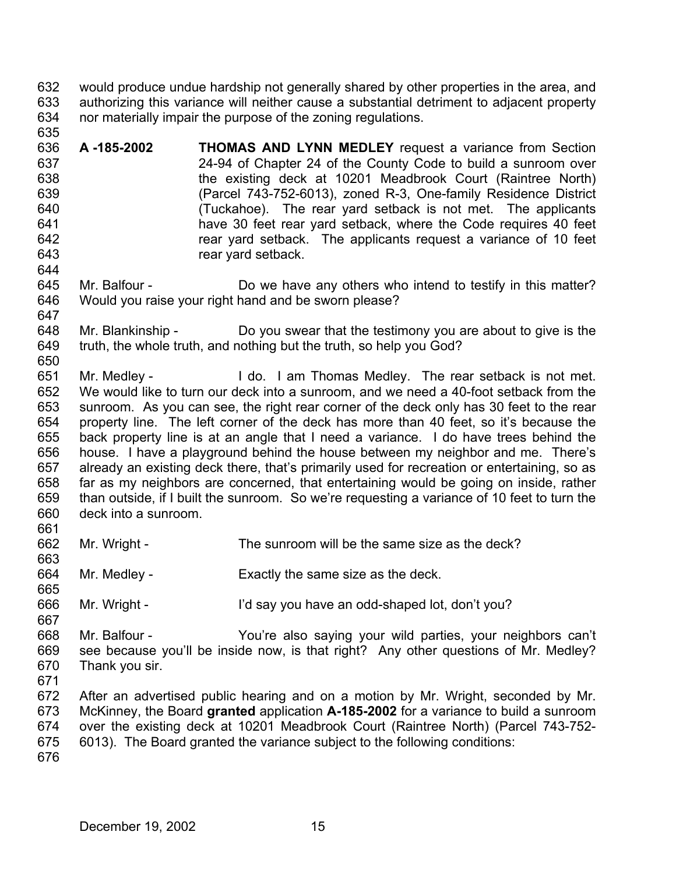632 633 634 635 would produce undue hardship not generally shared by other properties in the area, and authorizing this variance will neither cause a substantial detriment to adjacent property nor materially impair the purpose of the zoning regulations.

636 637 638 639 640 641 642 643 **A -185-2002 THOMAS AND LYNN MEDLEY** request a variance from Section 24-94 of Chapter 24 of the County Code to build a sunroom over the existing deck at 10201 Meadbrook Court (Raintree North) (Parcel 743-752-6013), zoned R-3, One-family Residence District (Tuckahoe). The rear yard setback is not met. The applicants have 30 feet rear yard setback, where the Code requires 40 feet rear yard setback. The applicants request a variance of 10 feet rear yard setback.

645 646 Mr. Balfour - Do we have any others who intend to testify in this matter? Would you raise your right hand and be sworn please?

648 649 650 Mr. Blankinship - Do you swear that the testimony you are about to give is the truth, the whole truth, and nothing but the truth, so help you God?

651 652 653 654 655 656 657 658 659 660 661 Mr. Medley - I do. I am Thomas Medley. The rear setback is not met. We would like to turn our deck into a sunroom, and we need a 40-foot setback from the sunroom. As you can see, the right rear corner of the deck only has 30 feet to the rear property line. The left corner of the deck has more than 40 feet, so it's because the back property line is at an angle that I need a variance. I do have trees behind the house. I have a playground behind the house between my neighbor and me. There's already an existing deck there, that's primarily used for recreation or entertaining, so as far as my neighbors are concerned, that entertaining would be going on inside, rather than outside, if I built the sunroom. So we're requesting a variance of 10 feet to turn the deck into a sunroom.

662 663 Mr. Wright - The sunroom will be the same size as the deck?

664 Mr. Medley - Exactly the same size as the deck.

666 Mr. Wright - I'd say you have an odd-shaped lot, don't you?

667 668 669 670 671 Mr. Balfour - You're also saying your wild parties, your neighbors can't see because you'll be inside now, is that right? Any other questions of Mr. Medley? Thank you sir.

672 673 674 675 676 After an advertised public hearing and on a motion by Mr. Wright, seconded by Mr. McKinney, the Board **granted** application **A-185-2002** for a variance to build a sunroom over the existing deck at 10201 Meadbrook Court (Raintree North) (Parcel 743-752- 6013). The Board granted the variance subject to the following conditions:

644

647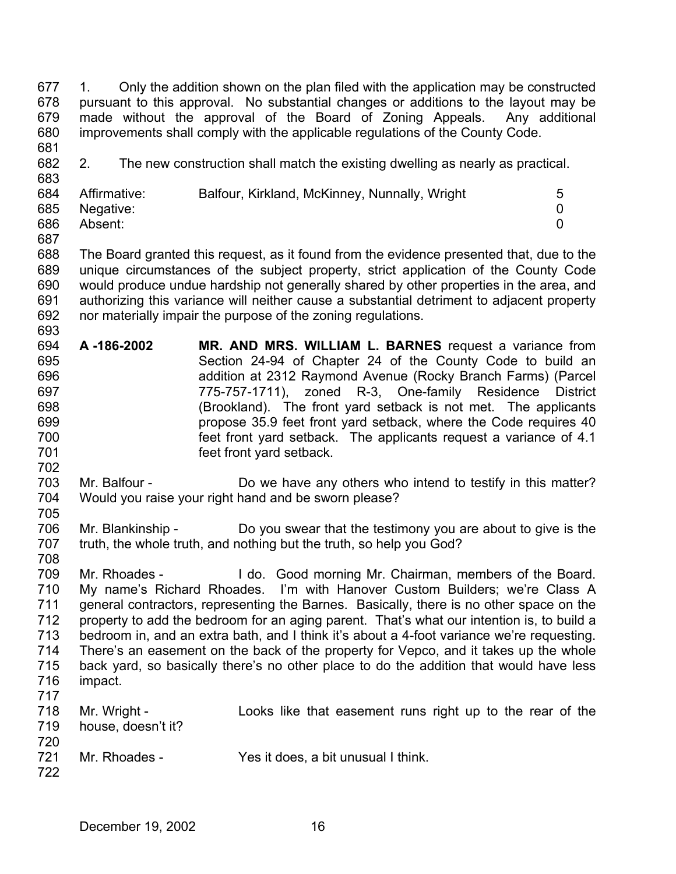677 678 679 680 681 1. Only the addition shown on the plan filed with the application may be constructed pursuant to this approval. No substantial changes or additions to the layout may be made without the approval of the Board of Zoning Appeals. Any additional improvements shall comply with the applicable regulations of the County Code.

682 2. The new construction shall match the existing dwelling as nearly as practical.

| 684 | Affirmative:  | Balfour, Kirkland, McKinney, Nunnally, Wright |  |
|-----|---------------|-----------------------------------------------|--|
|     | 685 Negative: |                                               |  |
| 686 | Absent:       |                                               |  |

688 689 690 691 692 693 The Board granted this request, as it found from the evidence presented that, due to the unique circumstances of the subject property, strict application of the County Code would produce undue hardship not generally shared by other properties in the area, and authorizing this variance will neither cause a substantial detriment to adjacent property nor materially impair the purpose of the zoning regulations.

- 694 695 696 697 698 699 700 701 **A -186-2002 MR. AND MRS. WILLIAM L. BARNES** request a variance from Section 24-94 of Chapter 24 of the County Code to build an addition at 2312 Raymond Avenue (Rocky Branch Farms) (Parcel 775-757-1711), zoned R-3, One-family Residence District (Brookland). The front yard setback is not met. The applicants propose 35.9 feet front yard setback, where the Code requires 40 feet front yard setback. The applicants request a variance of 4.1 feet front yard setback.
- 703 704 705 Mr. Balfour - **Do** we have any others who intend to testify in this matter? Would you raise your right hand and be sworn please?
- 706 707 Mr. Blankinship - Do you swear that the testimony you are about to give is the truth, the whole truth, and nothing but the truth, so help you God?
- 708

702

683

687

709 710 711 712 713 714 715 716 717 Mr. Rhoades - I do. Good morning Mr. Chairman, members of the Board. My name's Richard Rhoades. I'm with Hanover Custom Builders; we're Class A general contractors, representing the Barnes. Basically, there is no other space on the property to add the bedroom for an aging parent. That's what our intention is, to build a bedroom in, and an extra bath, and I think it's about a 4-foot variance we're requesting. There's an easement on the back of the property for Vepco, and it takes up the whole back yard, so basically there's no other place to do the addition that would have less impact.

| 718 | Mr. Wright -       |  | Looks like that easement runs right up to the rear of the |  |  |  |  |
|-----|--------------------|--|-----------------------------------------------------------|--|--|--|--|
| 719 | house, doesn't it? |  |                                                           |  |  |  |  |
| 720 |                    |  |                                                           |  |  |  |  |
| 721 | Mr. Rhoades -      |  | Yes it does, a bit unusual I think.                       |  |  |  |  |
| 722 |                    |  |                                                           |  |  |  |  |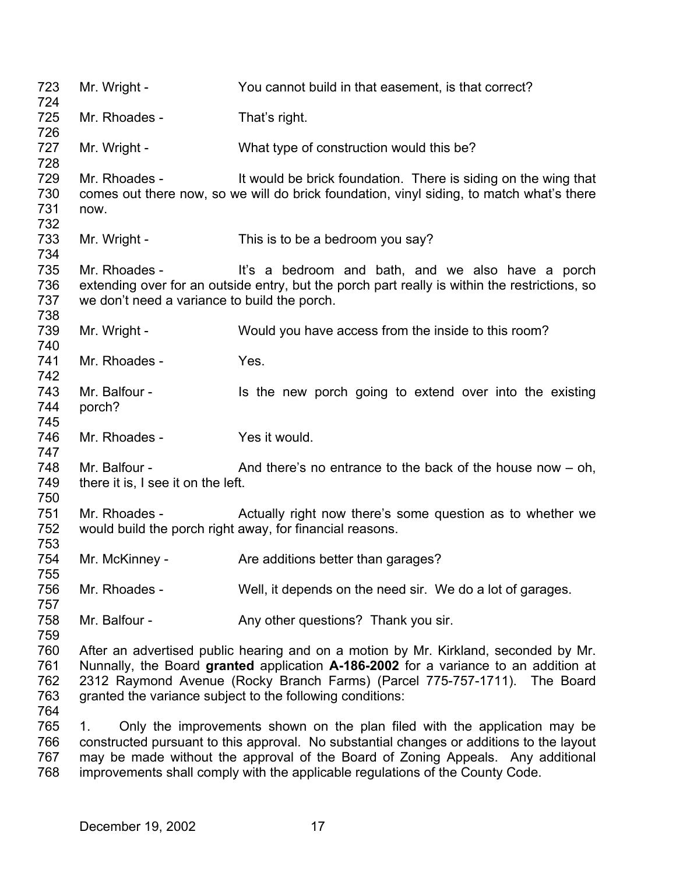723 724 725 726 727 728 729 730 731 732 733 734 735 736 737 738 739 740 741 742 743 744 745 746 747 748 749 750 751 752 753 754 755 756 757 758 759 760 761 762 763 764 765 766 767 768 Mr. Wright - You cannot build in that easement, is that correct? Mr. Rhoades - That's right. Mr. Wright - What type of construction would this be? Mr. Rhoades - It would be brick foundation. There is siding on the wing that comes out there now, so we will do brick foundation, vinyl siding, to match what's there now. Mr. Wright - This is to be a bedroom you say? Mr. Rhoades - It's a bedroom and bath, and we also have a porch extending over for an outside entry, but the porch part really is within the restrictions, so we don't need a variance to build the porch. Mr. Wright - Would you have access from the inside to this room? Mr. Rhoades - Yes. Mr. Balfour - The Is the new porch going to extend over into the existing porch? Mr. Rhoades - Yes it would. Mr. Balfour -  $\blacksquare$  And there's no entrance to the back of the house now – oh, there it is, I see it on the left. Mr. Rhoades - Actually right now there's some question as to whether we would build the porch right away, for financial reasons. Mr. McKinney - Are additions better than garages? Mr. Rhoades - Well, it depends on the need sir. We do a lot of garages. Mr. Balfour - Any other questions? Thank you sir. After an advertised public hearing and on a motion by Mr. Kirkland, seconded by Mr. Nunnally, the Board **granted** application **A-186-2002** for a variance to an addition at 2312 Raymond Avenue (Rocky Branch Farms) (Parcel 775-757-1711). The Board granted the variance subject to the following conditions: 1. Only the improvements shown on the plan filed with the application may be constructed pursuant to this approval. No substantial changes or additions to the layout may be made without the approval of the Board of Zoning Appeals. Any additional improvements shall comply with the applicable regulations of the County Code.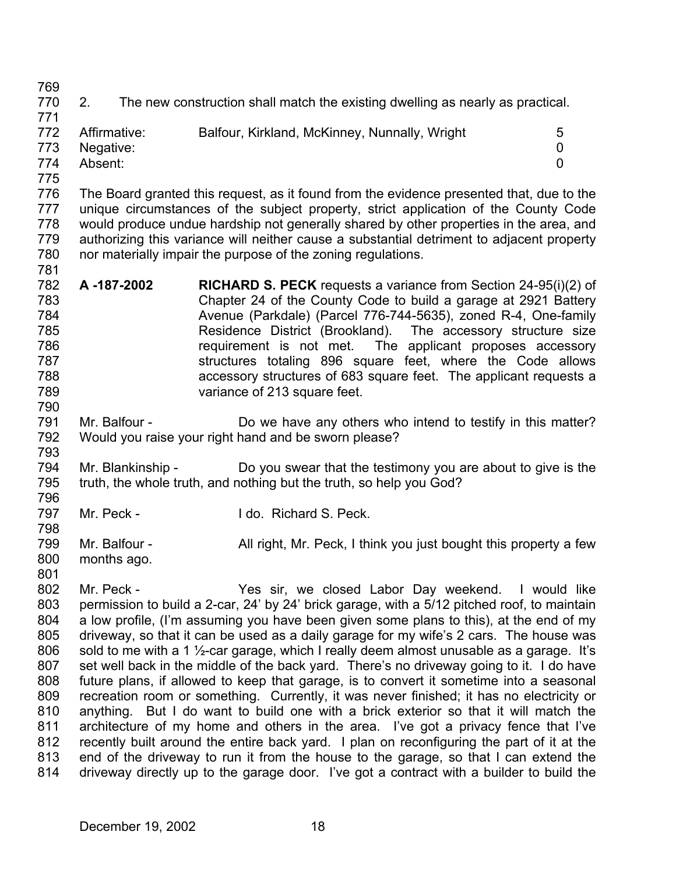769

770 771 2. The new construction shall match the existing dwelling as nearly as practical.

| .   |               |                                               |   |
|-----|---------------|-----------------------------------------------|---|
| 772 | Affirmative:  | Balfour, Kirkland, McKinney, Nunnally, Wright | 5 |
|     | 773 Negative: |                                               |   |
| 774 | Absent:       |                                               |   |
| 775 |               |                                               |   |

776 777 778 779 780 781 The Board granted this request, as it found from the evidence presented that, due to the unique circumstances of the subject property, strict application of the County Code would produce undue hardship not generally shared by other properties in the area, and authorizing this variance will neither cause a substantial detriment to adjacent property nor materially impair the purpose of the zoning regulations.

- 782 783 784 785 786 787 788 789 **A -187-2002 RICHARD S. PECK** requests a variance from Section 24-95(i)(2) of Chapter 24 of the County Code to build a garage at 2921 Battery Avenue (Parkdale) (Parcel 776-744-5635), zoned R-4, One-family Residence District (Brookland). The accessory structure size requirement is not met. The applicant proposes accessory structures totaling 896 square feet, where the Code allows accessory structures of 683 square feet. The applicant requests a variance of 213 square feet.
- 791 792 793 Mr. Balfour - Do we have any others who intend to testify in this matter? Would you raise your right hand and be sworn please?
- 794 795 796 Mr. Blankinship - Do you swear that the testimony you are about to give is the truth, the whole truth, and nothing but the truth, so help you God?
- 797 Mr. Peck - I do. Richard S. Peck.
- 798 799 800 Mr. Balfour - All right, Mr. Peck, I think you just bought this property a few months ago.
- 801

790

802 803 804 805 806 807 808 809 810 811 812 813 814 Mr. Peck - The Yes sir, we closed Labor Day weekend. I would like permission to build a 2-car, 24' by 24' brick garage, with a 5/12 pitched roof, to maintain a low profile, (I'm assuming you have been given some plans to this), at the end of my driveway, so that it can be used as a daily garage for my wife's 2 cars. The house was sold to me with a 1 <sup>1</sup>/<sub>2</sub>-car garage, which I really deem almost unusable as a garage. It's set well back in the middle of the back yard. There's no driveway going to it. I do have future plans, if allowed to keep that garage, is to convert it sometime into a seasonal recreation room or something. Currently, it was never finished; it has no electricity or anything. But I do want to build one with a brick exterior so that it will match the architecture of my home and others in the area. I've got a privacy fence that I've recently built around the entire back yard. I plan on reconfiguring the part of it at the end of the driveway to run it from the house to the garage, so that I can extend the driveway directly up to the garage door. I've got a contract with a builder to build the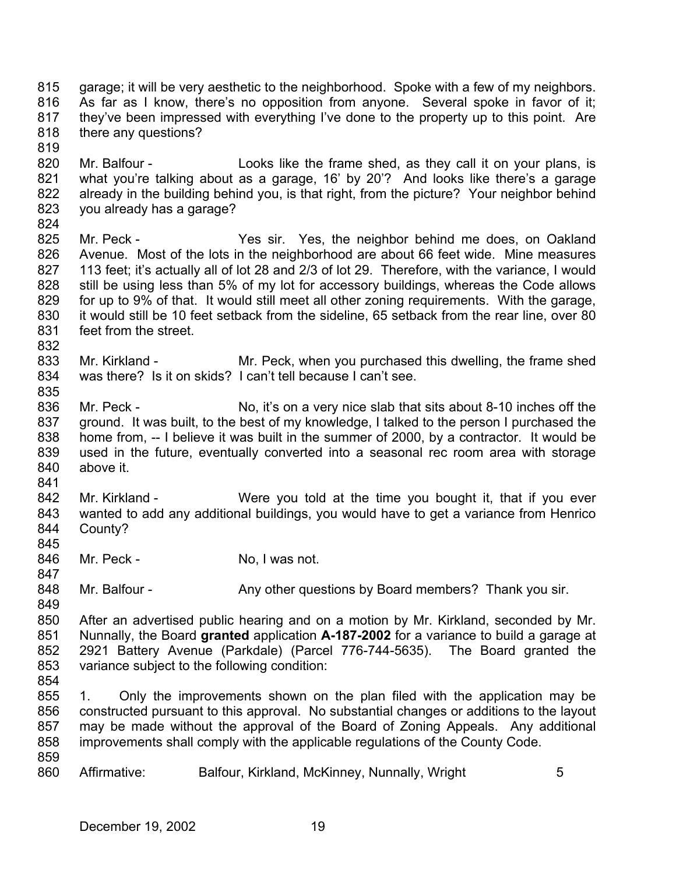815 816 817 818 garage; it will be very aesthetic to the neighborhood. Spoke with a few of my neighbors. As far as I know, there's no opposition from anyone. Several spoke in favor of it; they've been impressed with everything I've done to the property up to this point. Are there any questions?

819

820 821 822 823 Mr. Balfour - Looks like the frame shed, as they call it on your plans, is what you're talking about as a garage, 16' by 20'? And looks like there's a garage already in the building behind you, is that right, from the picture? Your neighbor behind you already has a garage?

824

832

835

841

825 826 827 828 829 830 831 Mr. Peck - Yes sir. Yes, the neighbor behind me does, on Oakland Avenue. Most of the lots in the neighborhood are about 66 feet wide. Mine measures 113 feet; it's actually all of lot 28 and 2/3 of lot 29. Therefore, with the variance, I would still be using less than 5% of my lot for accessory buildings, whereas the Code allows for up to 9% of that. It would still meet all other zoning requirements. With the garage, it would still be 10 feet setback from the sideline, 65 setback from the rear line, over 80 feet from the street.

833 834 Mr. Kirkland - Mr. Peck, when you purchased this dwelling, the frame shed was there? Is it on skids? I can't tell because I can't see.

836 837 838 839 840 Mr. Peck - No, it's on a very nice slab that sits about 8-10 inches off the ground. It was built, to the best of my knowledge, I talked to the person I purchased the home from, -- I believe it was built in the summer of 2000, by a contractor. It would be used in the future, eventually converted into a seasonal rec room area with storage above it.

842 843 844 Mr. Kirkland - Were you told at the time you bought it, that if you ever wanted to add any additional buildings, you would have to get a variance from Henrico County?

846 Mr. Peck - No, I was not.

847

845

848 Mr. Balfour - Any other questions by Board members? Thank you sir.

849 850 851 852 853 After an advertised public hearing and on a motion by Mr. Kirkland, seconded by Mr. Nunnally, the Board **granted** application **A-187-2002** for a variance to build a garage at 2921 Battery Avenue (Parkdale) (Parcel 776-744-5635). The Board granted the variance subject to the following condition:

854

855 856 857 858 859 1. Only the improvements shown on the plan filed with the application may be constructed pursuant to this approval. No substantial changes or additions to the layout may be made without the approval of the Board of Zoning Appeals. Any additional improvements shall comply with the applicable regulations of the County Code.

860 Affirmative: Balfour, Kirkland, McKinney, Nunnally, Wright 5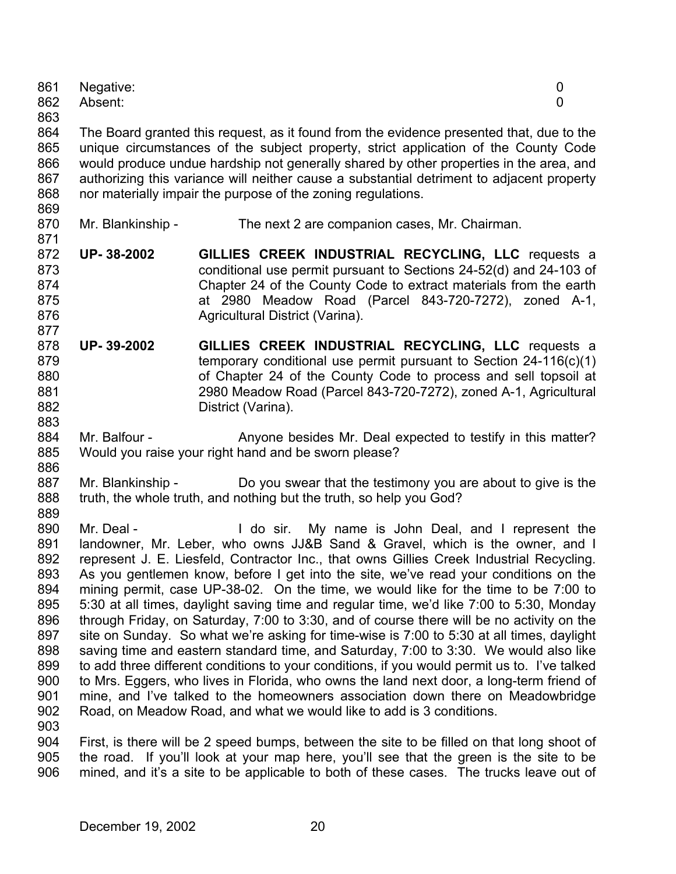| 862 | Absent:           | 0                                                                                         |  |
|-----|-------------------|-------------------------------------------------------------------------------------------|--|
| 863 |                   |                                                                                           |  |
| 864 |                   | The Board granted this request, as it found from the evidence presented that, due to the  |  |
| 865 |                   | unique circumstances of the subject property, strict application of the County Code       |  |
| 866 |                   | would produce undue hardship not generally shared by other properties in the area, and    |  |
| 867 |                   | authorizing this variance will neither cause a substantial detriment to adjacent property |  |
| 868 |                   | nor materially impair the purpose of the zoning regulations.                              |  |
| 869 |                   |                                                                                           |  |
| 870 | Mr. Blankinship - | The next 2 are companion cases, Mr. Chairman.                                             |  |
| 871 |                   |                                                                                           |  |
| 872 | UP-38-2002        | GILLIES CREEK INDUSTRIAL RECYCLING, LLC requests a                                        |  |
| 873 |                   | conditional use permit pursuant to Sections 24-52(d) and 24-103 of                        |  |
| 874 |                   | Chapter 24 of the County Code to extract materials from the earth                         |  |
| 875 |                   | at 2980 Meadow Road (Parcel 843-720-7272), zoned A-1,                                     |  |
| 876 |                   | Agricultural District (Varina).                                                           |  |
| 877 |                   |                                                                                           |  |
| 878 | UP-39-2002        | GILLIES CREEK INDUSTRIAL RECYCLING, LLC requests a                                        |  |
| 879 |                   | temporary conditional use permit pursuant to Section $24-116(c)(1)$                       |  |

Negative: 0

- ୪7 880 881 882 883 ry conditional use permit pursuant to Section 24-116(c)(1) of Chapter 24 of the County Code to process and sell topsoil at 2980 Meadow Road (Parcel 843-720-7272), zoned A-1, Agricultural District (Varina).
- 884 885 886 Mr. Balfour - Anyone besides Mr. Deal expected to testify in this matter? Would you raise your right hand and be sworn please?
- 887 888 889 Mr. Blankinship - Do you swear that the testimony you are about to give is the truth, the whole truth, and nothing but the truth, so help you God?
- 890 891 892 893 894 895 896 897 898 899 900 901 902 903 Mr. Deal - The Mull do sir. My name is John Deal, and I represent the landowner, Mr. Leber, who owns JJ&B Sand & Gravel, which is the owner, and I represent J. E. Liesfeld, Contractor Inc., that owns Gillies Creek Industrial Recycling. As you gentlemen know, before I get into the site, we've read your conditions on the mining permit, case UP-38-02. On the time, we would like for the time to be 7:00 to 5:30 at all times, daylight saving time and regular time, we'd like 7:00 to 5:30, Monday through Friday, on Saturday, 7:00 to 3:30, and of course there will be no activity on the site on Sunday. So what we're asking for time-wise is 7:00 to 5:30 at all times, daylight saving time and eastern standard time, and Saturday, 7:00 to 3:30. We would also like to add three different conditions to your conditions, if you would permit us to. I've talked to Mrs. Eggers, who lives in Florida, who owns the land next door, a long-term friend of mine, and I've talked to the homeowners association down there on Meadowbridge Road, on Meadow Road, and what we would like to add is 3 conditions.
- 904 905 906 First, is there will be 2 speed bumps, between the site to be filled on that long shoot of the road. If you'll look at your map here, you'll see that the green is the site to be mined, and it's a site to be applicable to both of these cases. The trucks leave out of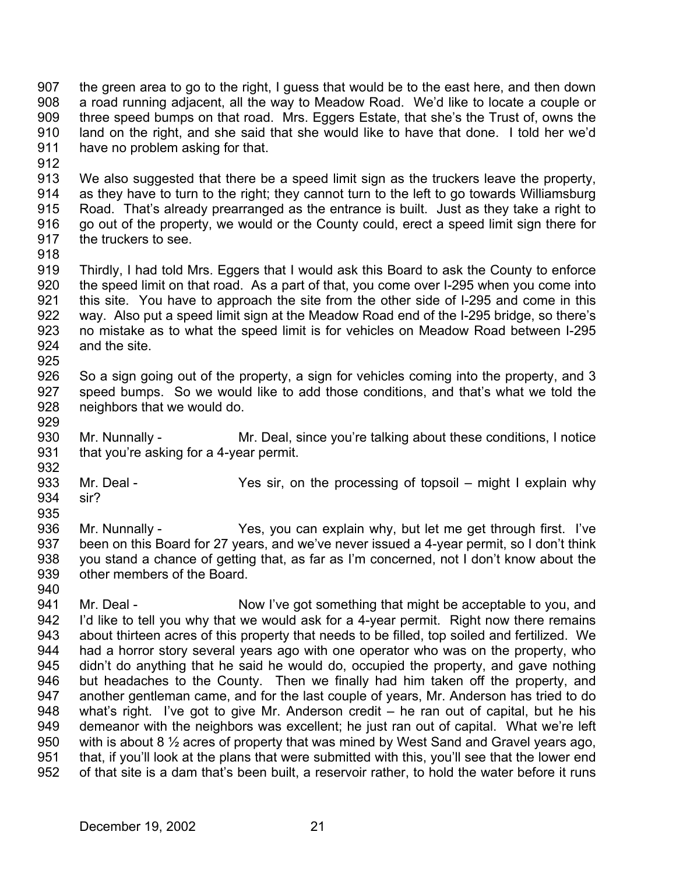907 908 909 910 911 the green area to go to the right, I guess that would be to the east here, and then down a road running adjacent, all the way to Meadow Road. We'd like to locate a couple or three speed bumps on that road. Mrs. Eggers Estate, that she's the Trust of, owns the land on the right, and she said that she would like to have that done. I told her we'd have no problem asking for that.

912

913 914 915 916 917 We also suggested that there be a speed limit sign as the truckers leave the property, as they have to turn to the right; they cannot turn to the left to go towards Williamsburg Road. That's already prearranged as the entrance is built. Just as they take a right to go out of the property, we would or the County could, erect a speed limit sign there for the truckers to see.

918

919 920 921 922 923 924 925 Thirdly, I had told Mrs. Eggers that I would ask this Board to ask the County to enforce the speed limit on that road. As a part of that, you come over I-295 when you come into this site. You have to approach the site from the other side of I-295 and come in this way. Also put a speed limit sign at the Meadow Road end of the I-295 bridge, so there's no mistake as to what the speed limit is for vehicles on Meadow Road between I-295 and the site.

- 926 927 928 So a sign going out of the property, a sign for vehicles coming into the property, and 3 speed bumps. So we would like to add those conditions, and that's what we told the neighbors that we would do.
- 930 931 932 Mr. Nunnally - Mr. Deal, since you're talking about these conditions, I notice that you're asking for a 4-year permit.
- 933 934 Mr. Deal - Yes sir, on the processing of topsoil – might I explain why sir?
- 935

- 936 937 938 939 940 Mr. Nunnally - Yes, you can explain why, but let me get through first. I've been on this Board for 27 years, and we've never issued a 4-year permit, so I don't think you stand a chance of getting that, as far as I'm concerned, not I don't know about the other members of the Board.
- 941 942 943 944 945 946 947 948 949 950 951 952 Mr. Deal - Now I've got something that might be acceptable to you, and I'd like to tell you why that we would ask for a 4-year permit. Right now there remains about thirteen acres of this property that needs to be filled, top soiled and fertilized. We had a horror story several years ago with one operator who was on the property, who didn't do anything that he said he would do, occupied the property, and gave nothing but headaches to the County. Then we finally had him taken off the property, and another gentleman came, and for the last couple of years, Mr. Anderson has tried to do what's right. I've got to give Mr. Anderson credit – he ran out of capital, but he his demeanor with the neighbors was excellent; he just ran out of capital. What we're left with is about 8  $\frac{1}{2}$  acres of property that was mined by West Sand and Gravel years ago, that, if you'll look at the plans that were submitted with this, you'll see that the lower end of that site is a dam that's been built, a reservoir rather, to hold the water before it runs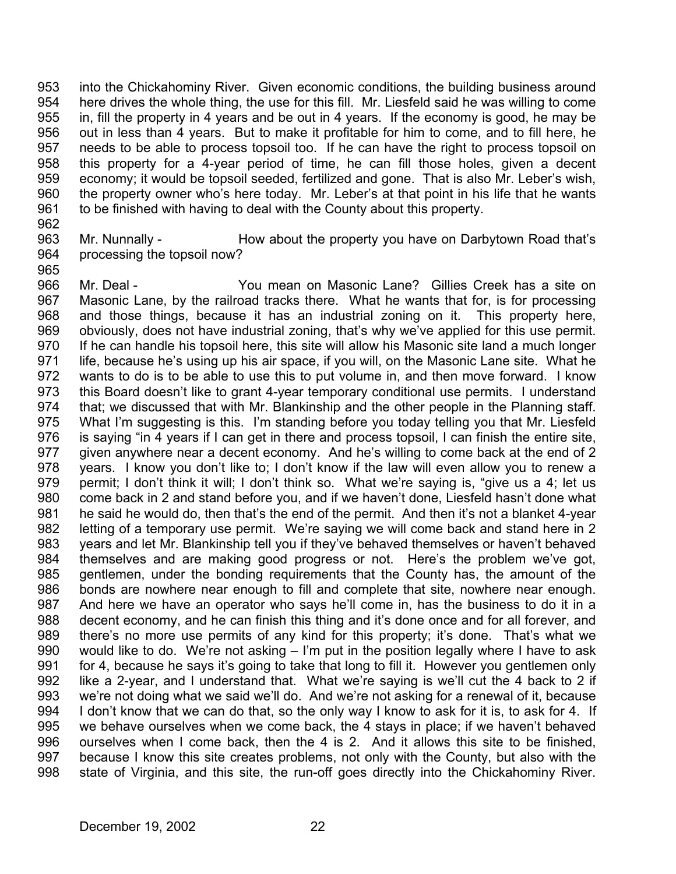953 954 955 956 957 958 959 960 961 into the Chickahominy River. Given economic conditions, the building business around here drives the whole thing, the use for this fill. Mr. Liesfeld said he was willing to come in, fill the property in 4 years and be out in 4 years. If the economy is good, he may be out in less than 4 years. But to make it profitable for him to come, and to fill here, he needs to be able to process topsoil too. If he can have the right to process topsoil on this property for a 4-year period of time, he can fill those holes, given a decent economy; it would be topsoil seeded, fertilized and gone. That is also Mr. Leber's wish, the property owner who's here today. Mr. Leber's at that point in his life that he wants to be finished with having to deal with the County about this property.

962

965

963 964 Mr. Nunnally - **How about the property you have on Darbytown Road that's** processing the topsoil now?

966 967 968 969 970 971 972 973 974 975 976 977 978 979 980 981 982 983 984 985 986 987 988 989 990 991 992 993 994 995 996 997 998 Mr. Deal - You mean on Masonic Lane? Gillies Creek has a site on Masonic Lane, by the railroad tracks there. What he wants that for, is for processing and those things, because it has an industrial zoning on it. This property here, obviously, does not have industrial zoning, that's why we've applied for this use permit. If he can handle his topsoil here, this site will allow his Masonic site land a much longer life, because he's using up his air space, if you will, on the Masonic Lane site. What he wants to do is to be able to use this to put volume in, and then move forward. I know this Board doesn't like to grant 4-year temporary conditional use permits. I understand that; we discussed that with Mr. Blankinship and the other people in the Planning staff. What I'm suggesting is this. I'm standing before you today telling you that Mr. Liesfeld is saying "in 4 years if I can get in there and process topsoil, I can finish the entire site, given anywhere near a decent economy. And he's willing to come back at the end of 2 years. I know you don't like to; I don't know if the law will even allow you to renew a permit; I don't think it will; I don't think so. What we're saying is, "give us a 4; let us come back in 2 and stand before you, and if we haven't done, Liesfeld hasn't done what he said he would do, then that's the end of the permit. And then it's not a blanket 4-year letting of a temporary use permit. We're saying we will come back and stand here in 2 years and let Mr. Blankinship tell you if they've behaved themselves or haven't behaved themselves and are making good progress or not. Here's the problem we've got, gentlemen, under the bonding requirements that the County has, the amount of the bonds are nowhere near enough to fill and complete that site, nowhere near enough. And here we have an operator who says he'll come in, has the business to do it in a decent economy, and he can finish this thing and it's done once and for all forever, and there's no more use permits of any kind for this property; it's done. That's what we would like to do. We're not asking – I'm put in the position legally where I have to ask for 4, because he says it's going to take that long to fill it. However you gentlemen only like a 2-year, and I understand that. What we're saying is we'll cut the 4 back to 2 if we're not doing what we said we'll do. And we're not asking for a renewal of it, because I don't know that we can do that, so the only way I know to ask for it is, to ask for 4. If we behave ourselves when we come back, the 4 stays in place; if we haven't behaved ourselves when I come back, then the 4 is 2. And it allows this site to be finished, because I know this site creates problems, not only with the County, but also with the state of Virginia, and this site, the run-off goes directly into the Chickahominy River.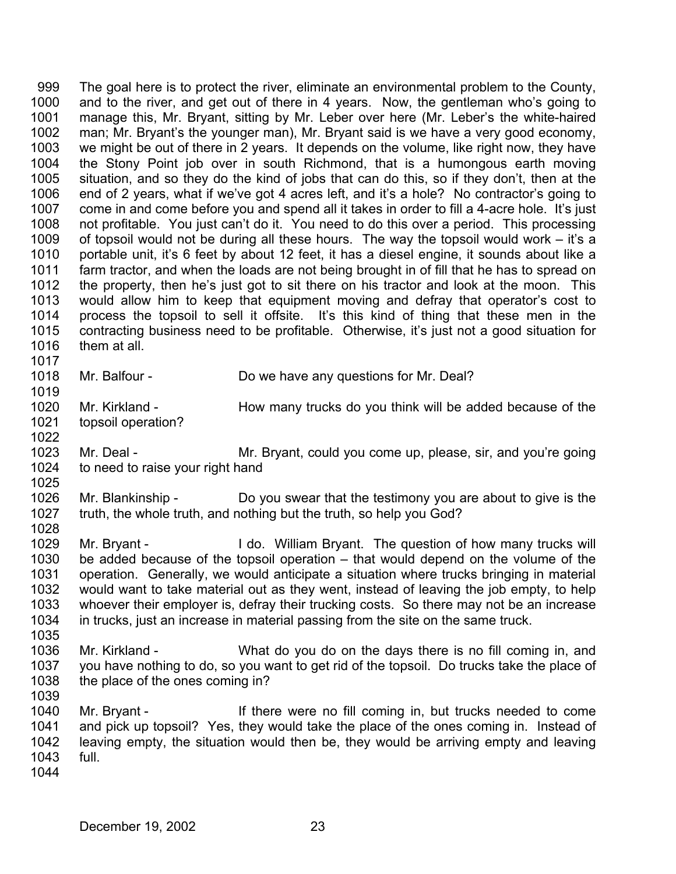999 1000 1001 1002 1003 1004 1005 1006 1007 1008 1009 1010 1011 1012 1013 1014 1015 1016 1017 The goal here is to protect the river, eliminate an environmental problem to the County, and to the river, and get out of there in 4 years. Now, the gentleman who's going to manage this, Mr. Bryant, sitting by Mr. Leber over here (Mr. Leber's the white-haired man; Mr. Bryant's the younger man), Mr. Bryant said is we have a very good economy, we might be out of there in 2 years. It depends on the volume, like right now, they have the Stony Point job over in south Richmond, that is a humongous earth moving situation, and so they do the kind of jobs that can do this, so if they don't, then at the end of 2 years, what if we've got 4 acres left, and it's a hole? No contractor's going to come in and come before you and spend all it takes in order to fill a 4-acre hole. It's just not profitable. You just can't do it. You need to do this over a period. This processing of topsoil would not be during all these hours. The way the topsoil would work – it's a portable unit, it's 6 feet by about 12 feet, it has a diesel engine, it sounds about like a farm tractor, and when the loads are not being brought in of fill that he has to spread on the property, then he's just got to sit there on his tractor and look at the moon. This would allow him to keep that equipment moving and defray that operator's cost to process the topsoil to sell it offsite. It's this kind of thing that these men in the contracting business need to be profitable. Otherwise, it's just not a good situation for them at all.

1018

1019

1022

Mr. Balfour - Do we have any questions for Mr. Deal?

1020 1021 Mr. Kirkland - How many trucks do you think will be added because of the topsoil operation?

1023 1024 1025 Mr. Deal - **Mr. Bryant, could you come up, please, sir, and you're going** to need to raise your right hand

1026 1027 1028 Mr. Blankinship - Do you swear that the testimony you are about to give is the truth, the whole truth, and nothing but the truth, so help you God?

1029 1030 1031 1032 1033 1034 Mr. Bryant - I do. William Bryant. The question of how many trucks will be added because of the topsoil operation – that would depend on the volume of the operation. Generally, we would anticipate a situation where trucks bringing in material would want to take material out as they went, instead of leaving the job empty, to help whoever their employer is, defray their trucking costs. So there may not be an increase in trucks, just an increase in material passing from the site on the same truck.

1036 1037 1038 Mr. Kirkland - What do you do on the days there is no fill coming in, and you have nothing to do, so you want to get rid of the topsoil. Do trucks take the place of the place of the ones coming in?

1040 1041 1042 1043 Mr. Bryant - If there were no fill coming in, but trucks needed to come and pick up topsoil? Yes, they would take the place of the ones coming in. Instead of leaving empty, the situation would then be, they would be arriving empty and leaving full.

1044

1035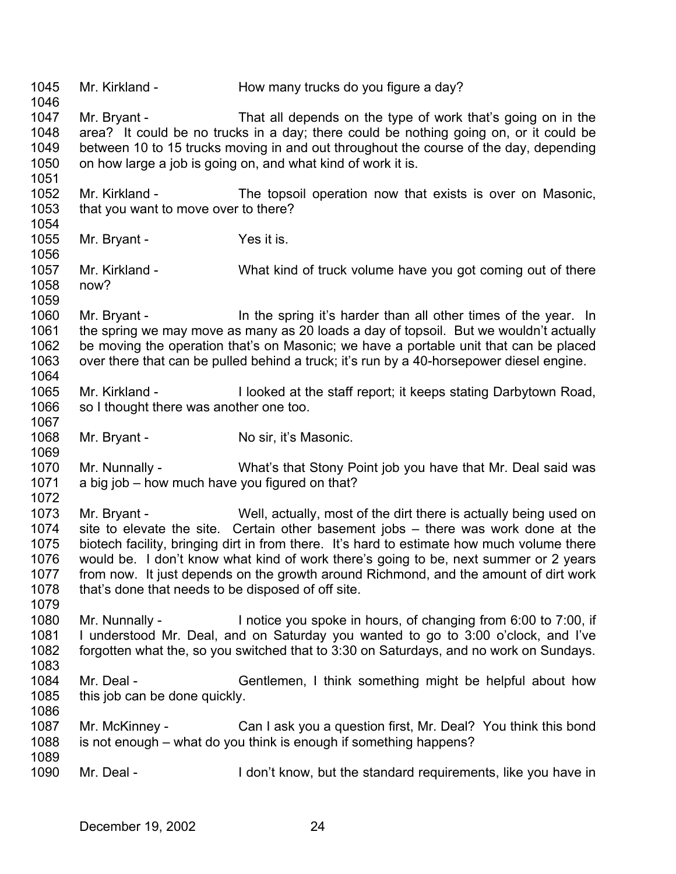1045 1046 1047 1048 1049 1050 1051 1052 1053 1054 1055 1056 1057 1058 1059 1060 1061 1062 1063 1064 1065 1066 1067 1068 1069 1070 1071 1072 1073 1074 1075 1076 1077 1078 1079 1080 1081 1082 1083 1084 1085 1086 1087 1088 1089 1090 Mr. Kirkland - How many trucks do you figure a day? Mr. Bryant - That all depends on the type of work that's going on in the area? It could be no trucks in a day; there could be nothing going on, or it could be between 10 to 15 trucks moving in and out throughout the course of the day, depending on how large a job is going on, and what kind of work it is. Mr. Kirkland - The topsoil operation now that exists is over on Masonic, that you want to move over to there? Mr. Bryant - Yes it is. Mr. Kirkland - What kind of truck volume have you got coming out of there now? Mr. Bryant - In the spring it's harder than all other times of the year. In the spring we may move as many as 20 loads a day of topsoil. But we wouldn't actually be moving the operation that's on Masonic; we have a portable unit that can be placed over there that can be pulled behind a truck; it's run by a 40-horsepower diesel engine. Mr. Kirkland - I looked at the staff report; it keeps stating Darbytown Road, so I thought there was another one too. Mr. Bryant - No sir, it's Masonic. Mr. Nunnally - What's that Stony Point job you have that Mr. Deal said was a big job – how much have you figured on that? Mr. Bryant - Well, actually, most of the dirt there is actually being used on site to elevate the site. Certain other basement jobs – there was work done at the biotech facility, bringing dirt in from there. It's hard to estimate how much volume there would be. I don't know what kind of work there's going to be, next summer or 2 years from now. It just depends on the growth around Richmond, and the amount of dirt work that's done that needs to be disposed of off site. Mr. Nunnally - Inotice you spoke in hours, of changing from 6:00 to 7:00, if I understood Mr. Deal, and on Saturday you wanted to go to 3:00 o'clock, and I've forgotten what the, so you switched that to 3:30 on Saturdays, and no work on Sundays. Mr. Deal - Gentlemen, I think something might be helpful about how this job can be done quickly. Mr. McKinney - Can I ask you a question first, Mr. Deal? You think this bond is not enough – what do you think is enough if something happens? Mr. Deal - The I don't know, but the standard requirements, like you have in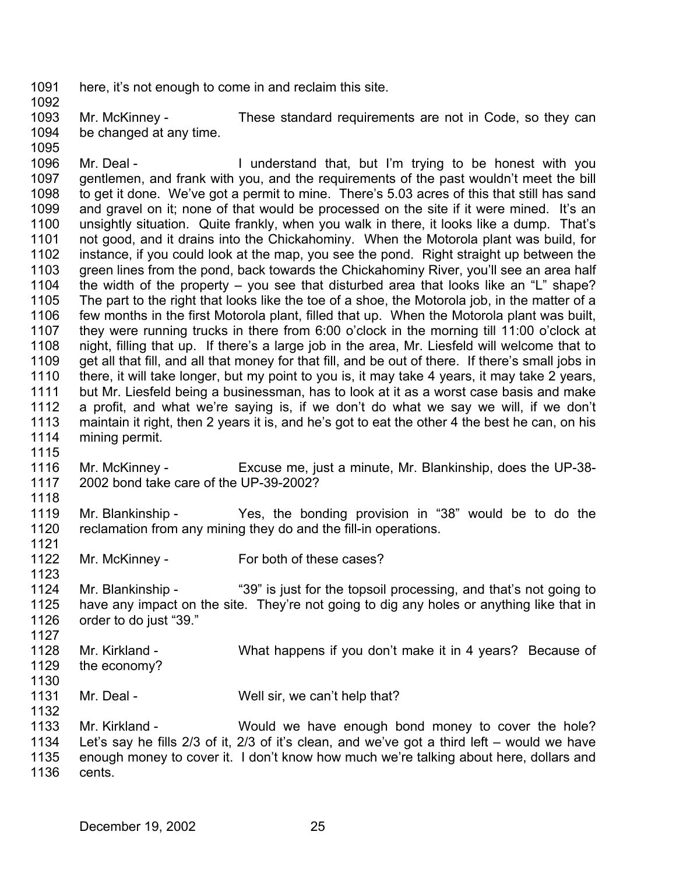1091 here, it's not enough to come in and reclaim this site.

1093 1094 Mr. McKinney - These standard requirements are not in Code, so they can be changed at any time.

1095

1092

1096 1097 1098 1099 1100 1101 1102 1103 1104 1105 1106 1107 1108 1109 1110 1111 1112 1113 1114 1115 Mr. Deal - The Munderstand that, but I'm trying to be honest with you gentlemen, and frank with you, and the requirements of the past wouldn't meet the bill to get it done. We've got a permit to mine. There's 5.03 acres of this that still has sand and gravel on it; none of that would be processed on the site if it were mined. It's an unsightly situation. Quite frankly, when you walk in there, it looks like a dump. That's not good, and it drains into the Chickahominy. When the Motorola plant was build, for instance, if you could look at the map, you see the pond. Right straight up between the green lines from the pond, back towards the Chickahominy River, you'll see an area half the width of the property – you see that disturbed area that looks like an "L" shape? The part to the right that looks like the toe of a shoe, the Motorola job, in the matter of a few months in the first Motorola plant, filled that up. When the Motorola plant was built, they were running trucks in there from 6:00 o'clock in the morning till 11:00 o'clock at night, filling that up. If there's a large job in the area, Mr. Liesfeld will welcome that to get all that fill, and all that money for that fill, and be out of there. If there's small jobs in there, it will take longer, but my point to you is, it may take 4 years, it may take 2 years, but Mr. Liesfeld being a businessman, has to look at it as a worst case basis and make a profit, and what we're saying is, if we don't do what we say we will, if we don't maintain it right, then 2 years it is, and he's got to eat the other 4 the best he can, on his mining permit.

- 1116 1117 Mr. McKinney - Excuse me, just a minute, Mr. Blankinship, does the UP-38-2002 bond take care of the UP-39-2002?
- 1119 1120 Mr. Blankinship - Yes, the bonding provision in "38" would be to do the reclamation from any mining they do and the fill-in operations.
- 1122 Mr. McKinney - For both of these cases?
- 1124 1125 1126 Mr. Blankinship - "39" is just for the topsoil processing, and that's not going to have any impact on the site. They're not going to dig any holes or anything like that in order to do just "39."
- 1128 1129 Mr. Kirkland - What happens if you don't make it in 4 years? Because of the economy?
- 1130

1127

1118

1121

- 1131 1132 Mr. Deal - Well sir, we can't help that?
- 1133 1134 1135 1136 Mr. Kirkland - Would we have enough bond money to cover the hole? Let's say he fills 2/3 of it, 2/3 of it's clean, and we've got a third left – would we have enough money to cover it. I don't know how much we're talking about here, dollars and cents.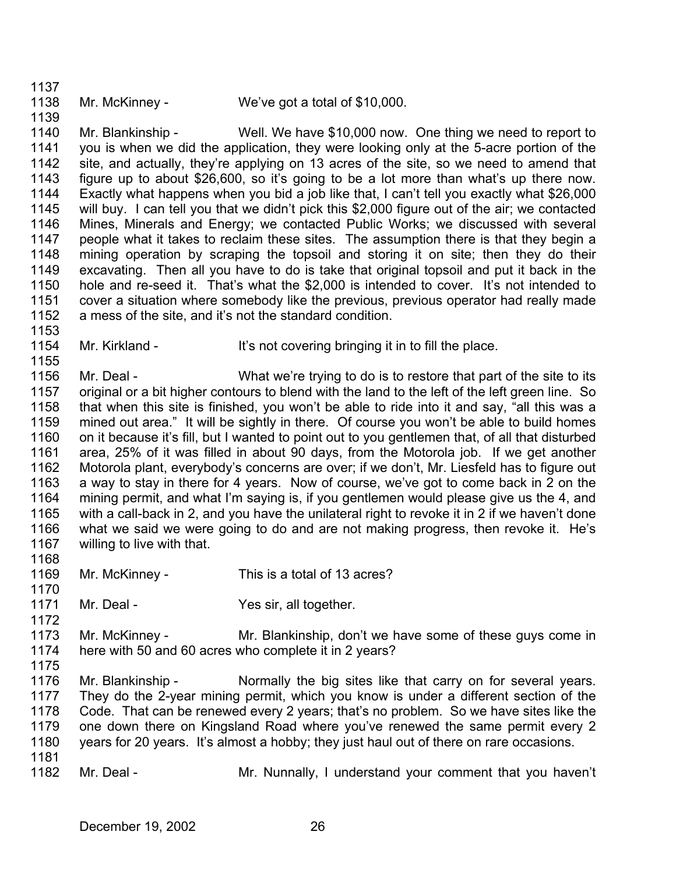1137

- 1138
- Mr. McKinney We've got a total of \$10,000.

1139

1153

1155

1140 1141 1142 1143 1144 1145 1146 1147 1148 1149 1150 1151 1152 Mr. Blankinship - Well. We have \$10,000 now. One thing we need to report to you is when we did the application, they were looking only at the 5-acre portion of the site, and actually, they're applying on 13 acres of the site, so we need to amend that figure up to about \$26,600, so it's going to be a lot more than what's up there now. Exactly what happens when you bid a job like that, I can't tell you exactly what \$26,000 will buy. I can tell you that we didn't pick this \$2,000 figure out of the air; we contacted Mines, Minerals and Energy; we contacted Public Works; we discussed with several people what it takes to reclaim these sites. The assumption there is that they begin a mining operation by scraping the topsoil and storing it on site; then they do their excavating. Then all you have to do is take that original topsoil and put it back in the hole and re-seed it. That's what the \$2,000 is intended to cover. It's not intended to cover a situation where somebody like the previous, previous operator had really made a mess of the site, and it's not the standard condition.

1154 Mr. Kirkland - It's not covering bringing it in to fill the place.

1156 1157 1158 1159 1160 1161 1162 1163 1164 1165 1166 1167 Mr. Deal - What we're trying to do is to restore that part of the site to its original or a bit higher contours to blend with the land to the left of the left green line. So that when this site is finished, you won't be able to ride into it and say, "all this was a mined out area." It will be sightly in there. Of course you won't be able to build homes on it because it's fill, but I wanted to point out to you gentlemen that, of all that disturbed area, 25% of it was filled in about 90 days, from the Motorola job. If we get another Motorola plant, everybody's concerns are over; if we don't, Mr. Liesfeld has to figure out a way to stay in there for 4 years. Now of course, we've got to come back in 2 on the mining permit, and what I'm saying is, if you gentlemen would please give us the 4, and with a call-back in 2, and you have the unilateral right to revoke it in 2 if we haven't done what we said we were going to do and are not making progress, then revoke it. He's willing to live with that.

- 1168
- 1169 1170 Mr. McKinney - This is a total of 13 acres?
- 1171 Mr. Deal - Yes sir, all together.
- 1173 1174 Mr. McKinney - The Mr. Blankinship, don't we have some of these guys come in here with 50 and 60 acres who complete it in 2 years?
- 1175

- 1176 1177 1178 1179 1180 1181 Mr. Blankinship - Normally the big sites like that carry on for several years. They do the 2-year mining permit, which you know is under a different section of the Code. That can be renewed every 2 years; that's no problem. So we have sites like the one down there on Kingsland Road where you've renewed the same permit every 2 years for 20 years. It's almost a hobby; they just haul out of there on rare occasions.
- 1182 Mr. Deal - Mr. Nunnally, I understand your comment that you haven't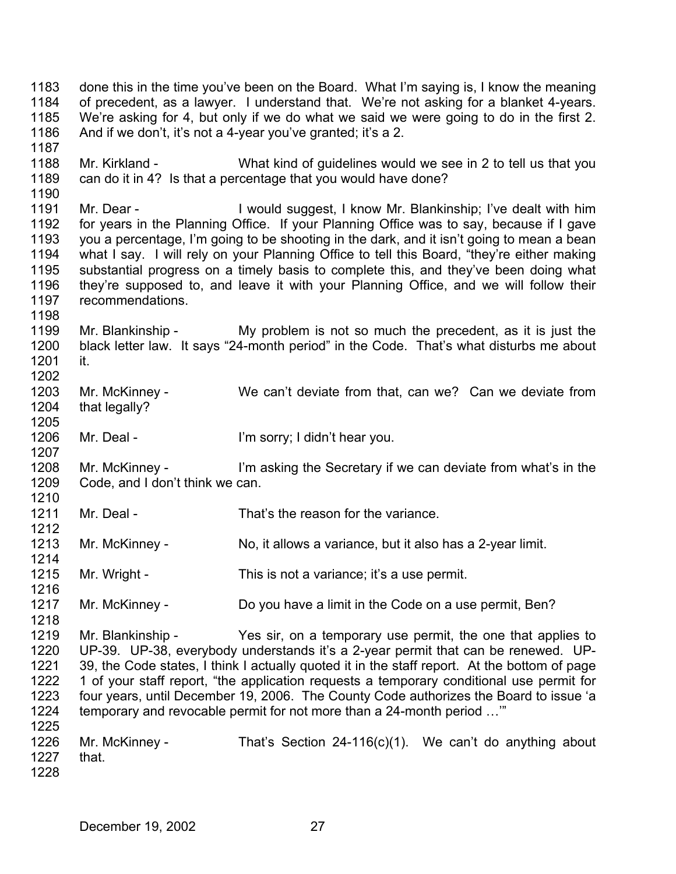1183 1184 1185 1186 1187 done this in the time you've been on the Board. What I'm saying is, I know the meaning of precedent, as a lawyer. I understand that. We're not asking for a blanket 4-years. We're asking for 4, but only if we do what we said we were going to do in the first 2. And if we don't, it's not a 4-year you've granted; it's a 2.

1188 1189 Mr. Kirkland - What kind of guidelines would we see in 2 to tell us that you can do it in 4? Is that a percentage that you would have done?

1191 1192 1193 1194 1195 1196 1197 Mr. Dear - I would suggest, I know Mr. Blankinship; I've dealt with him for years in the Planning Office. If your Planning Office was to say, because if I gave you a percentage, I'm going to be shooting in the dark, and it isn't going to mean a bean what I say. I will rely on your Planning Office to tell this Board, "they're either making substantial progress on a timely basis to complete this, and they've been doing what they're supposed to, and leave it with your Planning Office, and we will follow their recommendations.

1199 1200 1201 1202 Mr. Blankinship - My problem is not so much the precedent, as it is just the black letter law. It says "24-month period" in the Code. That's what disturbs me about it.

1203 1204 Mr. McKinney - We can't deviate from that, can we? Can we deviate from that legally?

1206 Mr. Deal - I'm sorry; I didn't hear you.

1208 1209 1210 Mr. McKinney - I'm asking the Secretary if we can deviate from what's in the Code, and I don't think we can.

1211 Mr. Deal - That's the reason for the variance.

1213 1214 Mr. McKinney - No, it allows a variance, but it also has a 2-year limit.

1215 Mr. Wright - This is not a variance; it's a use permit.

1217 Mr. McKinney - Do you have a limit in the Code on a use permit, Ben?

1219 1220 1221 1222 1223 1224 1225 Mr. Blankinship - Yes sir, on a temporary use permit, the one that applies to UP-39. UP-38, everybody understands it's a 2-year permit that can be renewed. UP-39, the Code states, I think I actually quoted it in the staff report. At the bottom of page 1 of your staff report, "the application requests a temporary conditional use permit for four years, until December 19, 2006. The County Code authorizes the Board to issue 'a temporary and revocable permit for not more than a 24-month period …'"

1226 1227 1228 Mr. McKinney - That's Section 24-116(c)(1). We can't do anything about that.

1190

1198

1205

1207

1212

1216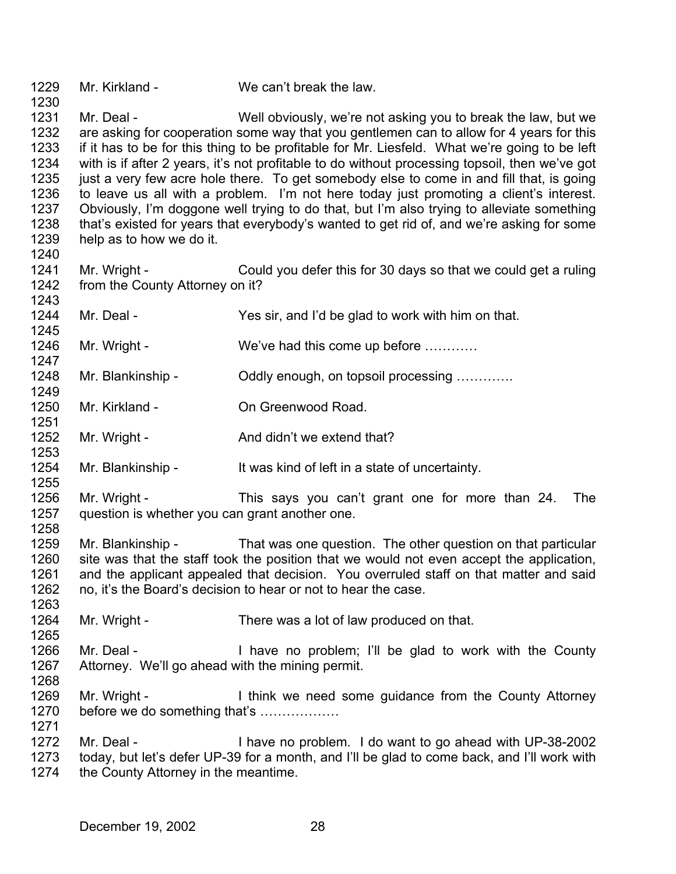1229 Mr. Kirkland - We can't break the law.

1230

1240

1249

1251

1253

1255

1263

1265

1231 1232 1233 1234 1235 1236 1237 1238 1239 Mr. Deal - Well obviously, we're not asking you to break the law, but we are asking for cooperation some way that you gentlemen can to allow for 4 years for this if it has to be for this thing to be profitable for Mr. Liesfeld. What we're going to be left with is if after 2 years, it's not profitable to do without processing topsoil, then we've got just a very few acre hole there. To get somebody else to come in and fill that, is going to leave us all with a problem. I'm not here today just promoting a client's interest. Obviously, I'm doggone well trying to do that, but I'm also trying to alleviate something that's existed for years that everybody's wanted to get rid of, and we're asking for some help as to how we do it.

1241 1242 1243 Mr. Wright - Could you defer this for 30 days so that we could get a ruling from the County Attorney on it?

1244 1245 Mr. Deal - Yes sir, and I'd be glad to work with him on that.

1246 1247 Mr. Wright - We've had this come up before ...........

1248 Mr. Blankinship - Coldly enough, on topsoil processing .............

1250 Mr. Kirkland - **On Greenwood Road.** 

1252 Mr. Wright - The And didn't we extend that?

1254 Mr. Blankinship - It was kind of left in a state of uncertainty.

1256 1257 1258 Mr. Wright - This says you can't grant one for more than 24. The question is whether you can grant another one.

1259 1260 1261 1262 Mr. Blankinship - That was one question. The other question on that particular site was that the staff took the position that we would not even accept the application, and the applicant appealed that decision. You overruled staff on that matter and said no, it's the Board's decision to hear or not to hear the case.

1264 Mr. Wright - There was a lot of law produced on that.

1266 1267 1268 Mr. Deal - Thave no problem; I'll be glad to work with the County Attorney. We'll go ahead with the mining permit.

1269 1270 1271 Mr. Wright - Think we need some guidance from the County Attorney before we do something that's ………………

1272 1273 1274 Mr. Deal - I have no problem. I do want to go ahead with UP-38-2002 today, but let's defer UP-39 for a month, and I'll be glad to come back, and I'll work with the County Attorney in the meantime.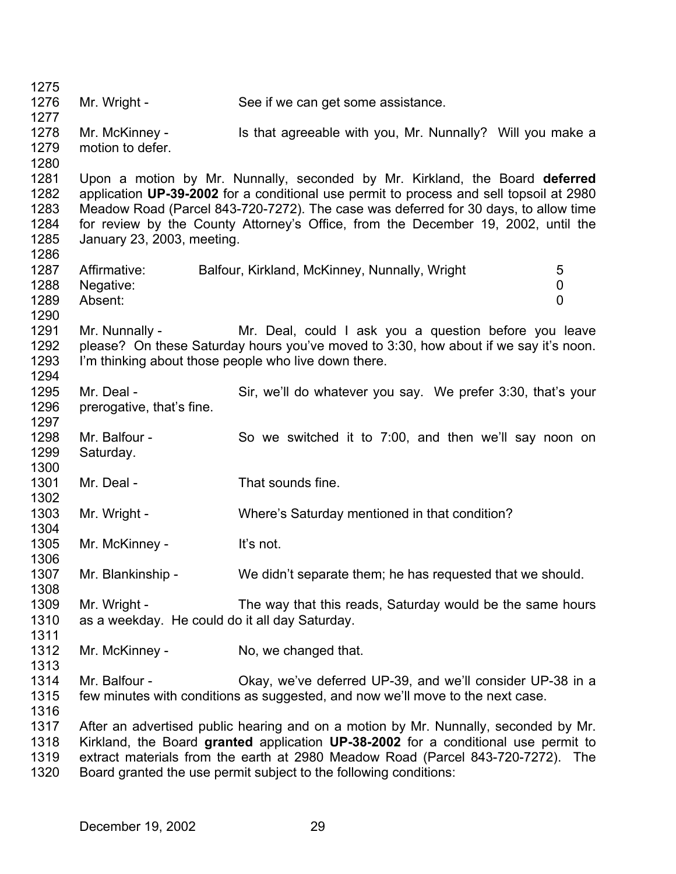1275 1276 1277 1278 1279 1280 1281 1282 1283 1284 1285 1286 1287 1288 1289 1290 1291 1292 1293 1294 1295 1296 1297 1298 1299 1300 1301 1302 1303 1304 1305 1306 1307 1308 1309 1310 1311 1312 1313 1314 1315 1316 1317 1318 1319 1320 Mr. Wright - See if we can get some assistance. Mr. McKinney - Is that agreeable with you, Mr. Nunnally? Will you make a motion to defer. Upon a motion by Mr. Nunnally, seconded by Mr. Kirkland, the Board **deferred** application **UP-39-2002** for a conditional use permit to process and sell topsoil at 2980 Meadow Road (Parcel 843-720-7272). The case was deferred for 30 days, to allow time for review by the County Attorney's Office, from the December 19, 2002, until the January 23, 2003, meeting. Affirmative: Balfour, Kirkland, McKinney, Nunnally, Wright 5 Negative: 0 Absent: 0 Mr. Nunnally - The Mr. Deal, could I ask you a question before you leave please? On these Saturday hours you've moved to 3:30, how about if we say it's noon. I'm thinking about those people who live down there. Mr. Deal - Sir, we'll do whatever you say. We prefer 3:30, that's your prerogative, that's fine. Mr. Balfour - So we switched it to 7:00, and then we'll say noon on Saturday. Mr. Deal - That sounds fine. Mr. Wright - Where's Saturday mentioned in that condition? Mr. McKinney - It's not. Mr. Blankinship - We didn't separate them; he has requested that we should. Mr. Wright - The way that this reads, Saturday would be the same hours as a weekday. He could do it all day Saturday. Mr. McKinney - No, we changed that. Mr. Balfour - Okay, we've deferred UP-39, and we'll consider UP-38 in a few minutes with conditions as suggested, and now we'll move to the next case. After an advertised public hearing and on a motion by Mr. Nunnally, seconded by Mr. Kirkland, the Board **granted** application **UP-38-2002** for a conditional use permit to extract materials from the earth at 2980 Meadow Road (Parcel 843-720-7272). The Board granted the use permit subject to the following conditions: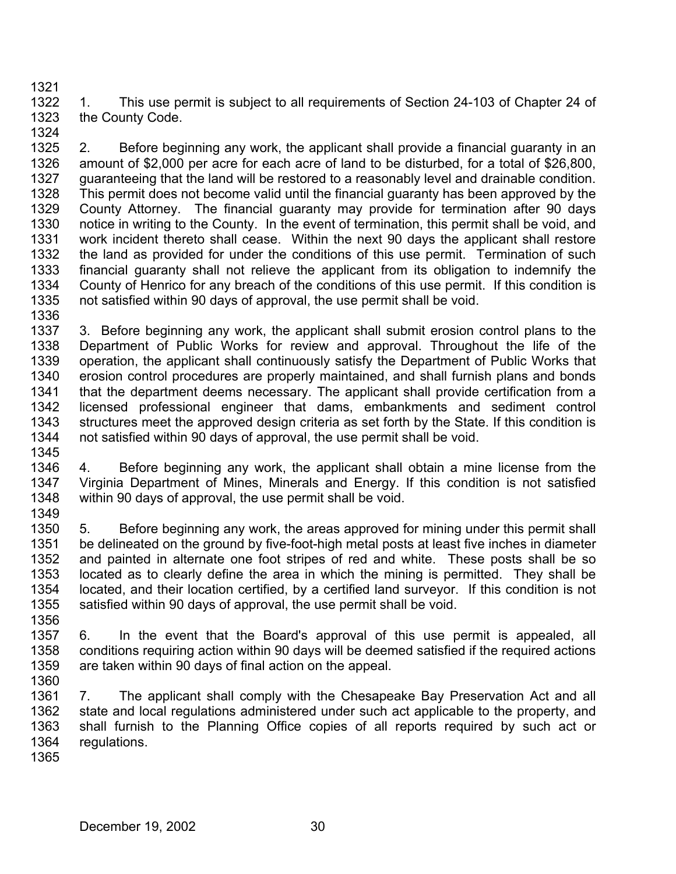1322 1323 1. This use permit is subject to all requirements of Section 24-103 of Chapter 24 of the County Code.

1324

1321

1325 1326 1327 1328 1329 1330 1331 1332 1333 1334 1335 2. Before beginning any work, the applicant shall provide a financial guaranty in an amount of \$2,000 per acre for each acre of land to be disturbed, for a total of \$26,800, guaranteeing that the land will be restored to a reasonably level and drainable condition. This permit does not become valid until the financial guaranty has been approved by the County Attorney. The financial guaranty may provide for termination after 90 days notice in writing to the County. In the event of termination, this permit shall be void, and work incident thereto shall cease. Within the next 90 days the applicant shall restore the land as provided for under the conditions of this use permit. Termination of such financial guaranty shall not relieve the applicant from its obligation to indemnify the County of Henrico for any breach of the conditions of this use permit. If this condition is not satisfied within 90 days of approval, the use permit shall be void.

1336

1337 1338 1339 1340 1341 1342 1343 1344 1345 3. Before beginning any work, the applicant shall submit erosion control plans to the Department of Public Works for review and approval. Throughout the life of the operation, the applicant shall continuously satisfy the Department of Public Works that erosion control procedures are properly maintained, and shall furnish plans and bonds that the department deems necessary. The applicant shall provide certification from a licensed professional engineer that dams, embankments and sediment control structures meet the approved design criteria as set forth by the State. If this condition is not satisfied within 90 days of approval, the use permit shall be void.

1346 1347 1348 1349 4. Before beginning any work, the applicant shall obtain a mine license from the Virginia Department of Mines, Minerals and Energy. If this condition is not satisfied within 90 days of approval, the use permit shall be void.

1350 1351 1352 1353 1354 1355 5. Before beginning any work, the areas approved for mining under this permit shall be delineated on the ground by five-foot-high metal posts at least five inches in diameter and painted in alternate one foot stripes of red and white. These posts shall be so located as to clearly define the area in which the mining is permitted. They shall be located, and their location certified, by a certified land surveyor. If this condition is not satisfied within 90 days of approval, the use permit shall be void.

1356 1357 1358 1359 6. In the event that the Board's approval of this use permit is appealed, all conditions requiring action within 90 days will be deemed satisfied if the required actions are taken within 90 days of final action on the appeal.

1360

1361 1362 1363 1364 7. The applicant shall comply with the Chesapeake Bay Preservation Act and all state and local regulations administered under such act applicable to the property, and shall furnish to the Planning Office copies of all reports required by such act or regulations.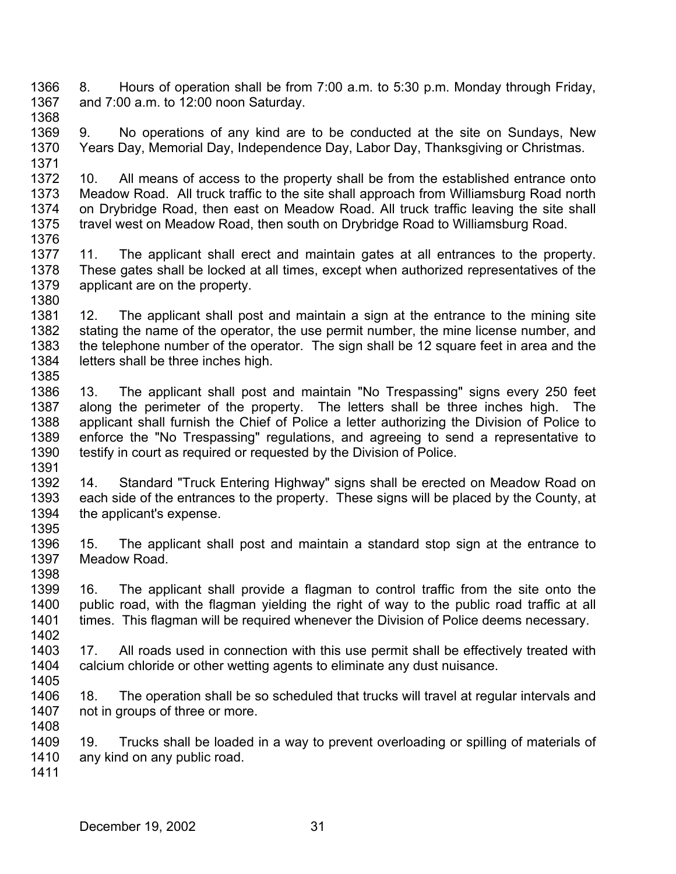1366 1367 8. Hours of operation shall be from 7:00 a.m. to 5:30 p.m. Monday through Friday, and 7:00 a.m. to 12:00 noon Saturday.

1368

1371

1369 1370 9. No operations of any kind are to be conducted at the site on Sundays, New Years Day, Memorial Day, Independence Day, Labor Day, Thanksgiving or Christmas.

1372 1373 1374 1375 1376 10. All means of access to the property shall be from the established entrance onto Meadow Road. All truck traffic to the site shall approach from Williamsburg Road north on Drybridge Road, then east on Meadow Road. All truck traffic leaving the site shall travel west on Meadow Road, then south on Drybridge Road to Williamsburg Road.

1377 1378 1379 1380 11. The applicant shall erect and maintain gates at all entrances to the property. These gates shall be locked at all times, except when authorized representatives of the applicant are on the property.

1381 1382 1383 1384 1385 12. The applicant shall post and maintain a sign at the entrance to the mining site stating the name of the operator, the use permit number, the mine license number, and the telephone number of the operator. The sign shall be 12 square feet in area and the letters shall be three inches high.

1386 1387 1388 1389 1390 1391 13. The applicant shall post and maintain "No Trespassing" signs every 250 feet along the perimeter of the property. The letters shall be three inches high. The applicant shall furnish the Chief of Police a letter authorizing the Division of Police to enforce the "No Trespassing" regulations, and agreeing to send a representative to testify in court as required or requested by the Division of Police.

1392 1393 1394 1395 14. Standard "Truck Entering Highway" signs shall be erected on Meadow Road on each side of the entrances to the property. These signs will be placed by the County, at the applicant's expense.

1396 1397 1398 15. The applicant shall post and maintain a standard stop sign at the entrance to Meadow Road.

1399 1400 1401 1402 16. The applicant shall provide a flagman to control traffic from the site onto the public road, with the flagman yielding the right of way to the public road traffic at all times. This flagman will be required whenever the Division of Police deems necessary.

1403 1404 1405 17. All roads used in connection with this use permit shall be effectively treated with calcium chloride or other wetting agents to eliminate any dust nuisance.

1406 1407 1408 18. The operation shall be so scheduled that trucks will travel at regular intervals and not in groups of three or more.

1409 1410 19. Trucks shall be loaded in a way to prevent overloading or spilling of materials of any kind on any public road.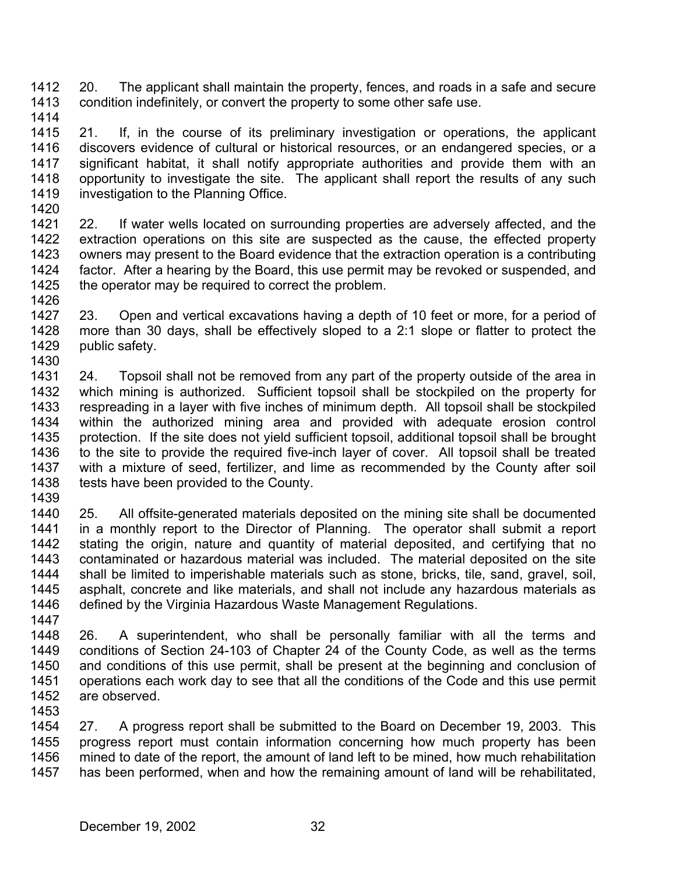1412 1413 20. The applicant shall maintain the property, fences, and roads in a safe and secure condition indefinitely, or convert the property to some other safe use.

1414

1415 1416 1417 1418 1419 21. If, in the course of its preliminary investigation or operations, the applicant discovers evidence of cultural or historical resources, or an endangered species, or a significant habitat, it shall notify appropriate authorities and provide them with an opportunity to investigate the site. The applicant shall report the results of any such investigation to the Planning Office.

1420

1421 1422 1423 1424 1425 22. If water wells located on surrounding properties are adversely affected, and the extraction operations on this site are suspected as the cause, the effected property owners may present to the Board evidence that the extraction operation is a contributing factor. After a hearing by the Board, this use permit may be revoked or suspended, and the operator may be required to correct the problem.

1426

1427 1428 1429 1430 23. Open and vertical excavations having a depth of 10 feet or more, for a period of more than 30 days, shall be effectively sloped to a 2:1 slope or flatter to protect the public safety.

1431 1432 1433 1434 1435 1436 1437 1438 24. Topsoil shall not be removed from any part of the property outside of the area in which mining is authorized. Sufficient topsoil shall be stockpiled on the property for respreading in a layer with five inches of minimum depth. All topsoil shall be stockpiled within the authorized mining area and provided with adequate erosion control protection. If the site does not yield sufficient topsoil, additional topsoil shall be brought to the site to provide the required five-inch layer of cover. All topsoil shall be treated with a mixture of seed, fertilizer, and lime as recommended by the County after soil tests have been provided to the County.

1439

1440 1441 1442 1443 1444 1445 1446 1447 25. All offsite-generated materials deposited on the mining site shall be documented in a monthly report to the Director of Planning. The operator shall submit a report stating the origin, nature and quantity of material deposited, and certifying that no contaminated or hazardous material was included. The material deposited on the site shall be limited to imperishable materials such as stone, bricks, tile, sand, gravel, soil, asphalt, concrete and like materials, and shall not include any hazardous materials as defined by the Virginia Hazardous Waste Management Regulations.

1448 1449 1450 1451 1452 1453 26. A superintendent, who shall be personally familiar with all the terms and conditions of Section 24-103 of Chapter 24 of the County Code, as well as the terms and conditions of this use permit, shall be present at the beginning and conclusion of operations each work day to see that all the conditions of the Code and this use permit are observed.

1454 1455 1456 1457 27. A progress report shall be submitted to the Board on December 19, 2003. This progress report must contain information concerning how much property has been mined to date of the report, the amount of land left to be mined, how much rehabilitation has been performed, when and how the remaining amount of land will be rehabilitated,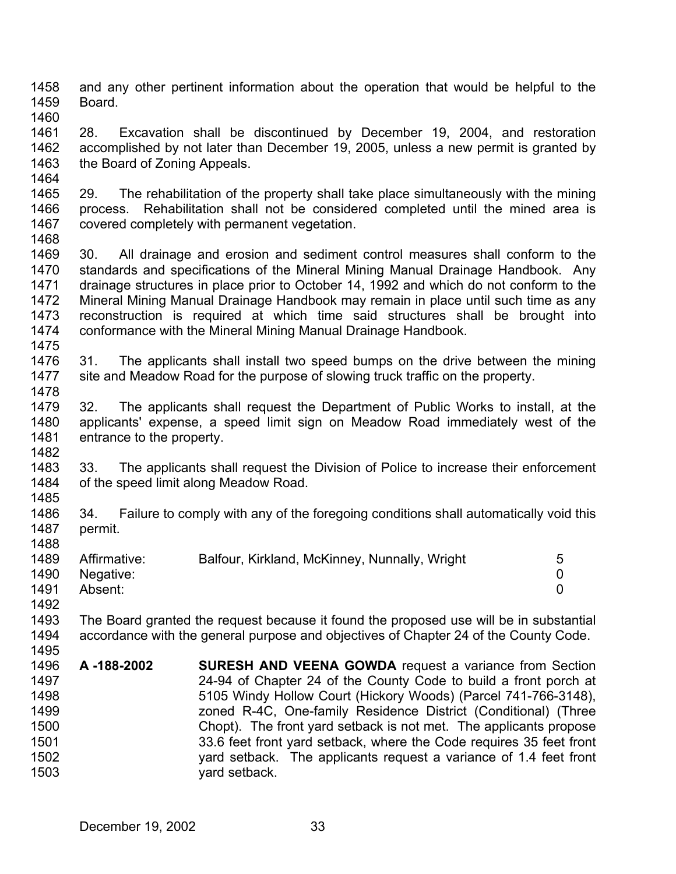1458 1459 and any other pertinent information about the operation that would be helpful to the Board.

1460

1492

1461 1462 1463 1464 28. Excavation shall be discontinued by December 19, 2004, and restoration accomplished by not later than December 19, 2005, unless a new permit is granted by the Board of Zoning Appeals.

- 1465 1466 1467 1468 29. The rehabilitation of the property shall take place simultaneously with the mining process. Rehabilitation shall not be considered completed until the mined area is covered completely with permanent vegetation.
- 1469 1470 1471 1472 1473 1474 1475 30. All drainage and erosion and sediment control measures shall conform to the standards and specifications of the Mineral Mining Manual Drainage Handbook. Any drainage structures in place prior to October 14, 1992 and which do not conform to the Mineral Mining Manual Drainage Handbook may remain in place until such time as any reconstruction is required at which time said structures shall be brought into conformance with the Mineral Mining Manual Drainage Handbook.
- 1476 1477 1478 31. The applicants shall install two speed bumps on the drive between the mining site and Meadow Road for the purpose of slowing truck traffic on the property.
- 1479 1480 1481 1482 32. The applicants shall request the Department of Public Works to install, at the applicants' expense, a speed limit sign on Meadow Road immediately west of the entrance to the property.
- 1483 1484 1485 33. The applicants shall request the Division of Police to increase their enforcement of the speed limit along Meadow Road.
- 1486 1487 1488 34. Failure to comply with any of the foregoing conditions shall automatically void this permit.
- 1489 1490 1491 Affirmative: Balfour, Kirkland, McKinney, Nunnally, Wright 5 Negative: 0 Absent: 0
- 1493 1494 The Board granted the request because it found the proposed use will be in substantial accordance with the general purpose and objectives of Chapter 24 of the County Code.
- 1495 1496 1497 1498 1499 1500 1501 1502 1503 **A -188-2002 SURESH AND VEENA GOWDA** request a variance from Section 24-94 of Chapter 24 of the County Code to build a front porch at 5105 Windy Hollow Court (Hickory Woods) (Parcel 741-766-3148), zoned R-4C, One-family Residence District (Conditional) (Three Chopt). The front yard setback is not met. The applicants propose 33.6 feet front yard setback, where the Code requires 35 feet front yard setback. The applicants request a variance of 1.4 feet front yard setback.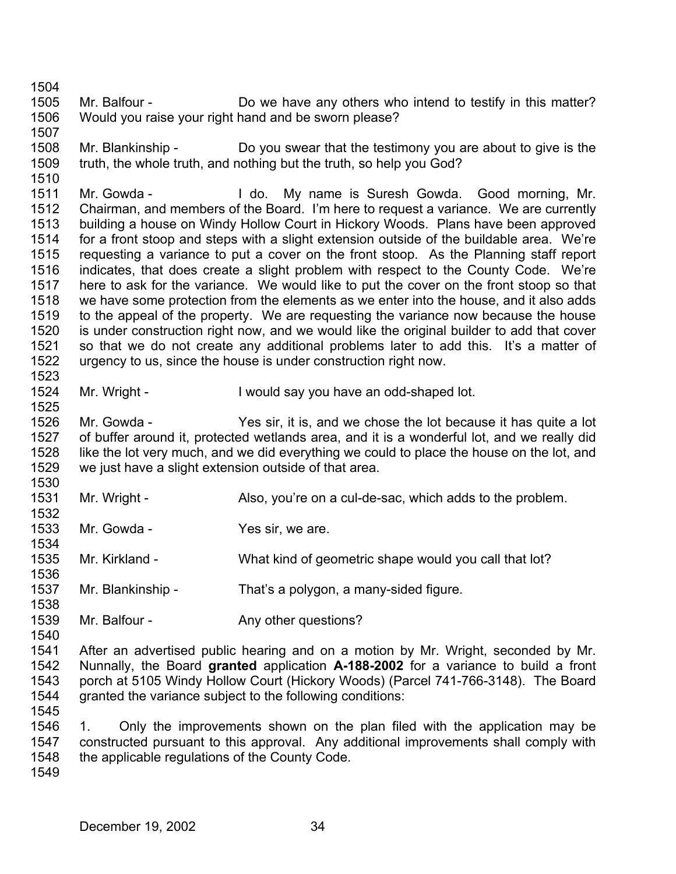1505 1506 Mr. Balfour - **Do** we have any others who intend to testify in this matter? Would you raise your right hand and be sworn please?

1508 1509 1510 Mr. Blankinship - Do you swear that the testimony you are about to give is the truth, the whole truth, and nothing but the truth, so help you God?

1511 1512 1513 1514 1515 1516 1517 1518 1519 1520 1521 1522 1523 Mr. Gowda - The My name is Suresh Gowda. Good morning, Mr. Chairman, and members of the Board. I'm here to request a variance. We are currently building a house on Windy Hollow Court in Hickory Woods. Plans have been approved for a front stoop and steps with a slight extension outside of the buildable area. We're requesting a variance to put a cover on the front stoop. As the Planning staff report indicates, that does create a slight problem with respect to the County Code. We're here to ask for the variance. We would like to put the cover on the front stoop so that we have some protection from the elements as we enter into the house, and it also adds to the appeal of the property. We are requesting the variance now because the house is under construction right now, and we would like the original builder to add that cover so that we do not create any additional problems later to add this. It's a matter of urgency to us, since the house is under construction right now.

1524 Mr. Wright - I would say you have an odd-shaped lot.

1526 1527 1528 1529 1530 Mr. Gowda - Yes sir, it is, and we chose the lot because it has quite a lot of buffer around it, protected wetlands area, and it is a wonderful lot, and we really did like the lot very much, and we did everything we could to place the house on the lot, and we just have a slight extension outside of that area.

- 1531 1532 Mr. Wright - Also, you're on a cul-de-sac, which adds to the problem.
- 1533 Mr. Gowda - Yes sir, we are.
- 1535 Mr. Kirkland - What kind of geometric shape would you call that lot?
- 1537 Mr. Blankinship - That's a polygon, a many-sided figure.
- 1539 Mr. Balfour - The Any other questions?
- 1541 1542 1543 1544 After an advertised public hearing and on a motion by Mr. Wright, seconded by Mr. Nunnally, the Board **granted** application **A-188-2002** for a variance to build a front porch at 5105 Windy Hollow Court (Hickory Woods) (Parcel 741-766-3148). The Board granted the variance subject to the following conditions:
- 1545

1504

1507

1525

1534

1536

1538

1540

1546 1547 1548 1. Only the improvements shown on the plan filed with the application may be constructed pursuant to this approval. Any additional improvements shall comply with the applicable regulations of the County Code.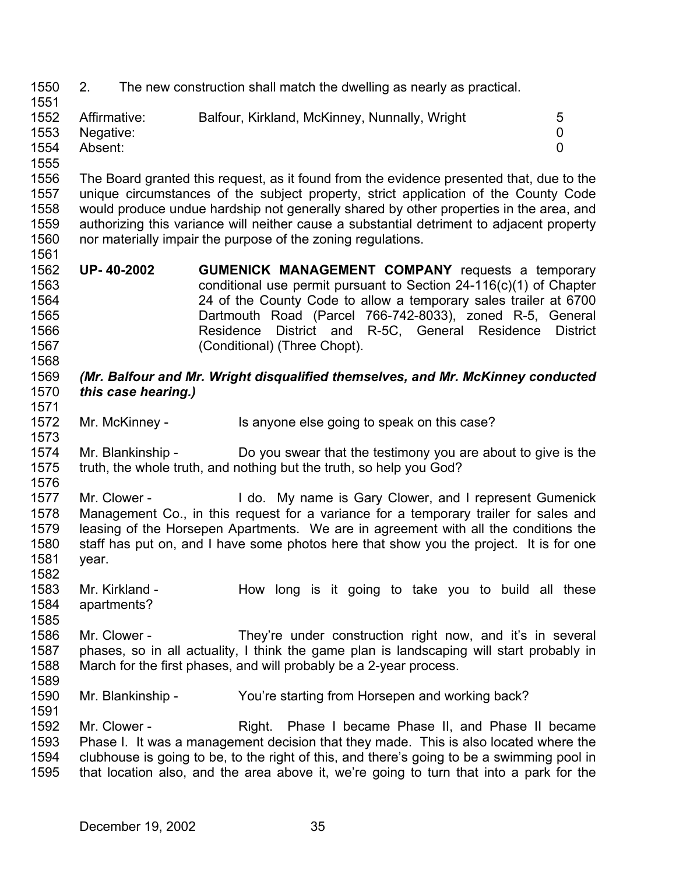1550 1551 2. The new construction shall match the dwelling as nearly as practical.

| 1552 | Affirmative:   | Balfour, Kirkland, McKinney, Nunnally, Wright | 5 |
|------|----------------|-----------------------------------------------|---|
|      | 1553 Negative: |                                               |   |
| 1554 | Absent:        |                                               |   |

1555

1568

1582

1585

1556 1557 1558 1559 1560 1561 The Board granted this request, as it found from the evidence presented that, due to the unique circumstances of the subject property, strict application of the County Code would produce undue hardship not generally shared by other properties in the area, and authorizing this variance will neither cause a substantial detriment to adjacent property nor materially impair the purpose of the zoning regulations.

1562 1563 1564 1565 1566 1567 **UP- 40-2002 GUMENICK MANAGEMENT COMPANY** requests a temporary conditional use permit pursuant to Section 24-116(c)(1) of Chapter 24 of the County Code to allow a temporary sales trailer at 6700 Dartmouth Road (Parcel 766-742-8033), zoned R-5, General Residence District and R-5C, General Residence District (Conditional) (Three Chopt).

### 1569 1570 1571 *(Mr. Balfour and Mr. Wright disqualified themselves, and Mr. McKinney conducted this case hearing.)*

1572 1573 Mr. McKinney - Is anyone else going to speak on this case?

1574 1575 1576 Mr. Blankinship - Do you swear that the testimony you are about to give is the truth, the whole truth, and nothing but the truth, so help you God?

- 1577 1578 1579 1580 1581 Mr. Clower - I do. My name is Gary Clower, and I represent Gumenick Management Co., in this request for a variance for a temporary trailer for sales and leasing of the Horsepen Apartments. We are in agreement with all the conditions the staff has put on, and I have some photos here that show you the project. It is for one year.
- 1583 1584 Mr. Kirkland - The How long is it going to take you to build all these apartments?
- 1586 1587 1588 1589 Mr. Clower - They're under construction right now, and it's in several phases, so in all actuality, I think the game plan is landscaping will start probably in March for the first phases, and will probably be a 2-year process.
- 1590 1591 Mr. Blankinship - You're starting from Horsepen and working back?

1592 1593 1594 1595 Mr. Clower - The Right. Phase I became Phase II, and Phase II became Phase I. It was a management decision that they made. This is also located where the clubhouse is going to be, to the right of this, and there's going to be a swimming pool in that location also, and the area above it, we're going to turn that into a park for the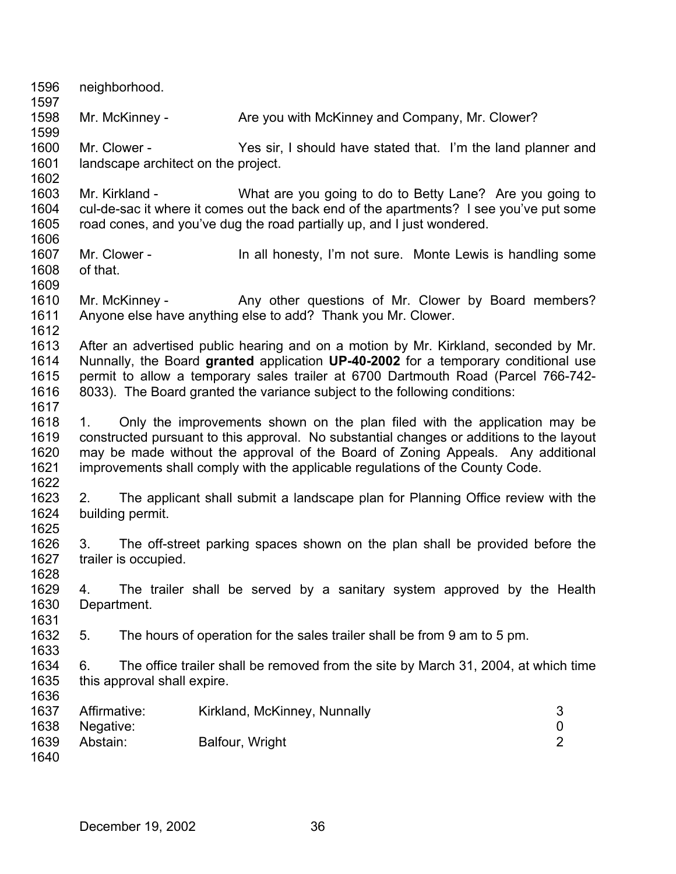| 1596<br>1597                         |                                                                                                                                                                                                                                                                                                                                                 | neighborhood.                                                                                                                                                                      |                                                     |  |                                                              |  |  |  |                                         |
|--------------------------------------|-------------------------------------------------------------------------------------------------------------------------------------------------------------------------------------------------------------------------------------------------------------------------------------------------------------------------------------------------|------------------------------------------------------------------------------------------------------------------------------------------------------------------------------------|-----------------------------------------------------|--|--------------------------------------------------------------|--|--|--|-----------------------------------------|
| 1598<br>1599                         |                                                                                                                                                                                                                                                                                                                                                 | Mr. McKinney -                                                                                                                                                                     |                                                     |  | Are you with McKinney and Company, Mr. Clower?               |  |  |  |                                         |
| 1600<br>1601<br>1602                 |                                                                                                                                                                                                                                                                                                                                                 | Mr. Clower -<br>landscape architect on the project.                                                                                                                                |                                                     |  | Yes sir, I should have stated that. I'm the land planner and |  |  |  |                                         |
| 1603<br>1604<br>1605                 |                                                                                                                                                                                                                                                                                                                                                 | Mr. Kirkland -<br>cul-de-sac it where it comes out the back end of the apartments? I see you've put some<br>road cones, and you've dug the road partially up, and I just wondered. |                                                     |  | What are you going to do to Betty Lane? Are you going to     |  |  |  |                                         |
| 1606<br>1607<br>1608<br>1609         | of that.                                                                                                                                                                                                                                                                                                                                        | Mr. Clower -                                                                                                                                                                       |                                                     |  | In all honesty, I'm not sure. Monte Lewis is handling some   |  |  |  |                                         |
| 1610<br>1611                         |                                                                                                                                                                                                                                                                                                                                                 | Mr. McKinney -<br>Anyone else have anything else to add? Thank you Mr. Clower.                                                                                                     | Any other questions of Mr. Clower by Board members? |  |                                                              |  |  |  |                                         |
| 1612<br>1613<br>1614<br>1615<br>1616 | After an advertised public hearing and on a motion by Mr. Kirkland, seconded by Mr.<br>Nunnally, the Board granted application UP-40-2002 for a temporary conditional use<br>permit to allow a temporary sales trailer at 6700 Dartmouth Road (Parcel 766-742-<br>8033). The Board granted the variance subject to the following conditions:    |                                                                                                                                                                                    |                                                     |  |                                                              |  |  |  |                                         |
| 1617<br>1618<br>1619<br>1620<br>1621 | Only the improvements shown on the plan filed with the application may be<br>1.<br>constructed pursuant to this approval. No substantial changes or additions to the layout<br>may be made without the approval of the Board of Zoning Appeals. Any additional<br>improvements shall comply with the applicable regulations of the County Code. |                                                                                                                                                                                    |                                                     |  |                                                              |  |  |  |                                         |
| 1622<br>1623<br>1624                 | 2.                                                                                                                                                                                                                                                                                                                                              | The applicant shall submit a landscape plan for Planning Office review with the<br>building permit.                                                                                |                                                     |  |                                                              |  |  |  |                                         |
| 1625<br>1626<br>1627<br>1628         | 3.                                                                                                                                                                                                                                                                                                                                              | The off-street parking spaces shown on the plan shall be provided before the<br>trailer is occupied.                                                                               |                                                     |  |                                                              |  |  |  |                                         |
| 1629<br>1630<br>1631                 | 4.                                                                                                                                                                                                                                                                                                                                              | The trailer shall be served by a sanitary system approved by the Health<br>Department.                                                                                             |                                                     |  |                                                              |  |  |  |                                         |
| 1632<br>1633                         | 5.                                                                                                                                                                                                                                                                                                                                              | The hours of operation for the sales trailer shall be from 9 am to 5 pm.                                                                                                           |                                                     |  |                                                              |  |  |  |                                         |
| 1634<br>1635<br>1636                 | 6.                                                                                                                                                                                                                                                                                                                                              | The office trailer shall be removed from the site by March 31, 2004, at which time<br>this approval shall expire.                                                                  |                                                     |  |                                                              |  |  |  |                                         |
| 1637<br>1638<br>1639<br>1640         | Affirmative:<br>Negative:<br>Abstain:                                                                                                                                                                                                                                                                                                           |                                                                                                                                                                                    | Kirkland, McKinney, Nunnally<br>Balfour, Wright     |  |                                                              |  |  |  | 3<br>$\boldsymbol{0}$<br>$\overline{2}$ |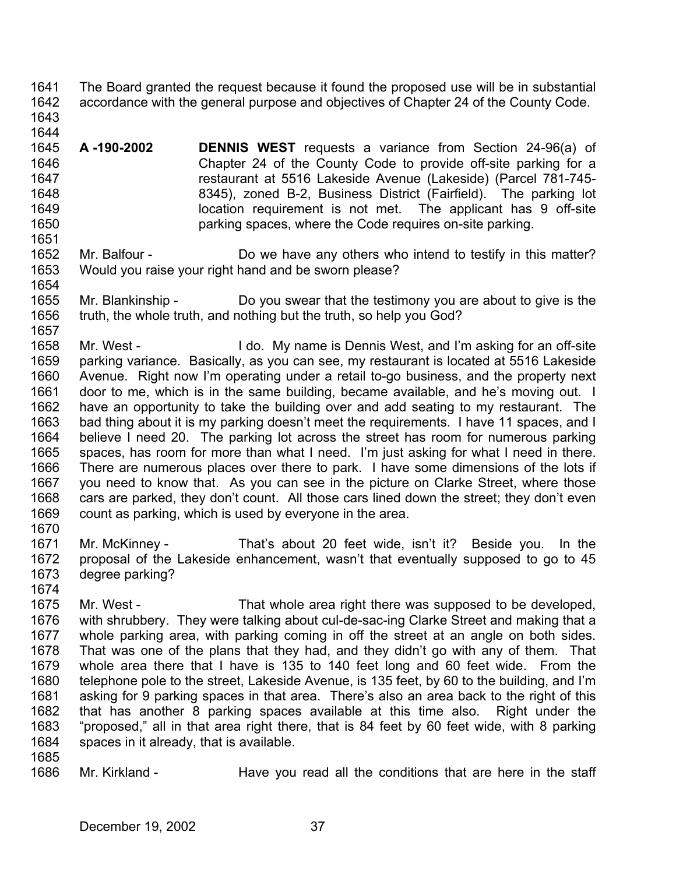- 1641 1642 The Board granted the request because it found the proposed use will be in substantial accordance with the general purpose and objectives of Chapter 24 of the County Code.
- 1643 1644

1651

- 1645 1646 1647 1648 1649 1650 **A -190-2002 DENNIS WEST** requests a variance from Section 24-96(a) of Chapter 24 of the County Code to provide off-site parking for a restaurant at 5516 Lakeside Avenue (Lakeside) (Parcel 781-745- 8345), zoned B-2, Business District (Fairfield). The parking lot location requirement is not met. The applicant has 9 off-site parking spaces, where the Code requires on-site parking.
- 1652 1653 1654 Mr. Balfour - Do we have any others who intend to testify in this matter? Would you raise your right hand and be sworn please?
- 1655 1656 1657 Mr. Blankinship - Do you swear that the testimony you are about to give is the truth, the whole truth, and nothing but the truth, so help you God?
- 1658 1659 1660 1661 1662 1663 1664 1665 1666 1667 1668 1669 1670 Mr. West - I do. My name is Dennis West, and I'm asking for an off-site parking variance. Basically, as you can see, my restaurant is located at 5516 Lakeside Avenue. Right now I'm operating under a retail to-go business, and the property next door to me, which is in the same building, became available, and he's moving out. I have an opportunity to take the building over and add seating to my restaurant. The bad thing about it is my parking doesn't meet the requirements. I have 11 spaces, and I believe I need 20. The parking lot across the street has room for numerous parking spaces, has room for more than what I need. I'm just asking for what I need in there. There are numerous places over there to park. I have some dimensions of the lots if you need to know that. As you can see in the picture on Clarke Street, where those cars are parked, they don't count. All those cars lined down the street; they don't even count as parking, which is used by everyone in the area.
- 1671 1672 1673 Mr. McKinney - That's about 20 feet wide, isn't it? Beside you. In the proposal of the Lakeside enhancement, wasn't that eventually supposed to go to 45 degree parking?
- 1675 1676 1677 1678 1679 1680 1681 1682 1683 1684 Mr. West - That whole area right there was supposed to be developed, with shrubbery. They were talking about cul-de-sac-ing Clarke Street and making that a whole parking area, with parking coming in off the street at an angle on both sides. That was one of the plans that they had, and they didn't go with any of them. That whole area there that I have is 135 to 140 feet long and 60 feet wide. From the telephone pole to the street, Lakeside Avenue, is 135 feet, by 60 to the building, and I'm asking for 9 parking spaces in that area. There's also an area back to the right of this that has another 8 parking spaces available at this time also. Right under the "proposed," all in that area right there, that is 84 feet by 60 feet wide, with 8 parking spaces in it already, that is available.
- 1685

1674

1686 Mr. Kirkland - Have you read all the conditions that are here in the staff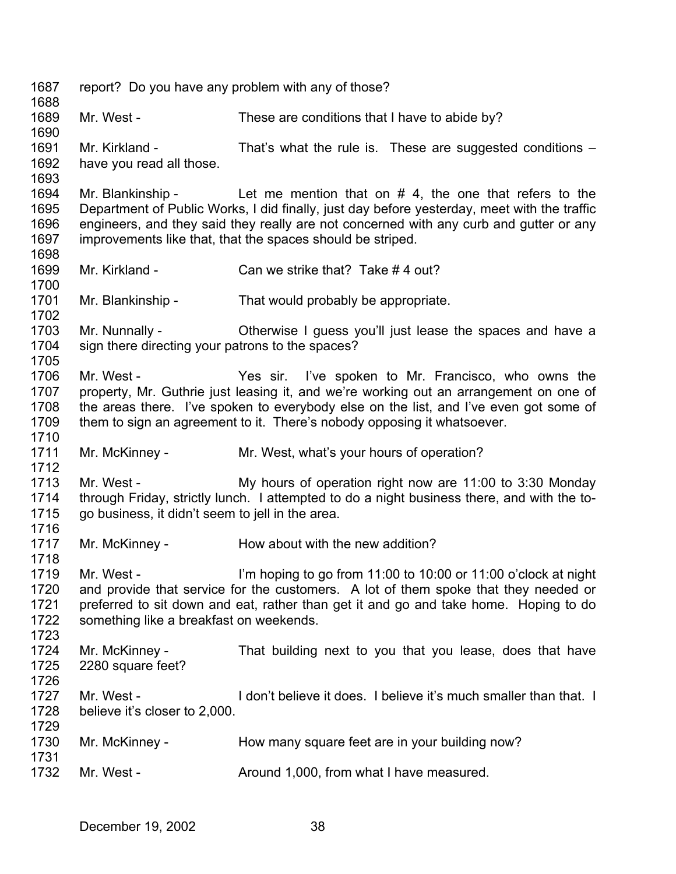1687 1688 1689 1690 1691 1692 1693 1694 1695 1696 1697 1698 1699 1700 1701 1702 1703 1704 1705 1706 1707 1708 1709 1710 1711 1712 1713 1714 1715 1716 1717 1718 1719 1720 1721 1722 1723 1724 1725 1726 1727 1728 1729 1730 1731 1732 report? Do you have any problem with any of those? Mr. West - These are conditions that I have to abide by? Mr. Kirkland - That's what the rule is. These are suggested conditions – have you read all those. Mr. Blankinship - Let me mention that on  $#$  4, the one that refers to the Department of Public Works, I did finally, just day before yesterday, meet with the traffic engineers, and they said they really are not concerned with any curb and gutter or any improvements like that, that the spaces should be striped. Mr. Kirkland - Can we strike that? Take #4 out? Mr. Blankinship - That would probably be appropriate. Mr. Nunnally - Otherwise I guess you'll just lease the spaces and have a sign there directing your patrons to the spaces? Mr. West - The State Yes sir. I've spoken to Mr. Francisco, who owns the property, Mr. Guthrie just leasing it, and we're working out an arrangement on one of the areas there. I've spoken to everybody else on the list, and I've even got some of them to sign an agreement to it. There's nobody opposing it whatsoever. Mr. McKinney - Mr. West, what's your hours of operation? Mr. West - My hours of operation right now are 11:00 to 3:30 Monday through Friday, strictly lunch. I attempted to do a night business there, and with the togo business, it didn't seem to jell in the area. Mr. McKinney - The How about with the new addition? Mr. West - I'm hoping to go from 11:00 to 10:00 or 11:00 o'clock at night and provide that service for the customers. A lot of them spoke that they needed or preferred to sit down and eat, rather than get it and go and take home. Hoping to do something like a breakfast on weekends. Mr. McKinney - That building next to you that you lease, does that have 2280 square feet? Mr. West - The I don't believe it does. I believe it's much smaller than that. I believe it's closer to 2,000. Mr. McKinney - How many square feet are in your building now? Mr. West - The Around 1,000, from what I have measured.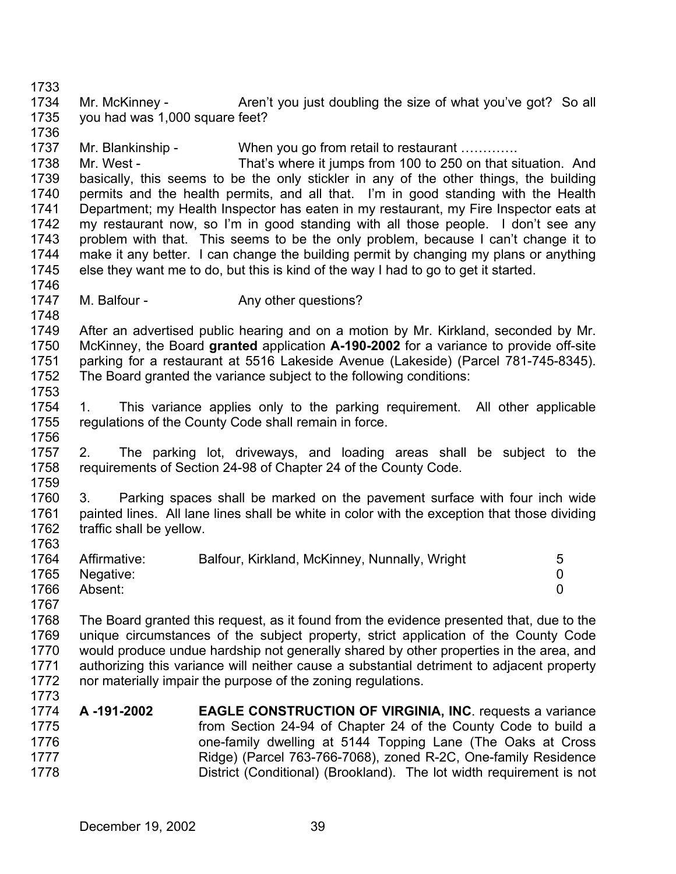1734 1735 Mr. McKinney - Aren't you just doubling the size of what you've got? So all you had was 1,000 square feet?

1737 1738 1739 1740 1741 1742 1743 1744 1745 Mr. Blankinship - When you go from retail to restaurant …………. Mr. West - That's where it jumps from 100 to 250 on that situation. And basically, this seems to be the only stickler in any of the other things, the building permits and the health permits, and all that. I'm in good standing with the Health Department; my Health Inspector has eaten in my restaurant, my Fire Inspector eats at my restaurant now, so I'm in good standing with all those people. I don't see any problem with that. This seems to be the only problem, because I can't change it to make it any better. I can change the building permit by changing my plans or anything else they want me to do, but this is kind of the way I had to go to get it started.

1747 M. Balfour - The Any other questions?

1733

1736

1746

1748

1763

1773

1749 1750 1751 1752 1753 After an advertised public hearing and on a motion by Mr. Kirkland, seconded by Mr. McKinney, the Board **granted** application **A-190-2002** for a variance to provide off-site parking for a restaurant at 5516 Lakeside Avenue (Lakeside) (Parcel 781-745-8345). The Board granted the variance subject to the following conditions:

- 1754 1755 1756 1. This variance applies only to the parking requirement. All other applicable regulations of the County Code shall remain in force.
- 1757 1758 1759 2. The parking lot, driveways, and loading areas shall be subject to the requirements of Section 24-98 of Chapter 24 of the County Code.
- 1760 1761 1762 3. Parking spaces shall be marked on the pavement surface with four inch wide painted lines. All lane lines shall be white in color with the exception that those dividing traffic shall be yellow.

| 1764 | Affirmative: | Balfour, Kirkland, McKinney, Nunnally, Wright | 5 |
|------|--------------|-----------------------------------------------|---|
| 1765 | Negative:    |                                               |   |
| 1766 | Absent:      |                                               |   |
| 1767 |              |                                               |   |

1768 1769 1770 1771 1772 The Board granted this request, as it found from the evidence presented that, due to the unique circumstances of the subject property, strict application of the County Code would produce undue hardship not generally shared by other properties in the area, and authorizing this variance will neither cause a substantial detriment to adjacent property nor materially impair the purpose of the zoning regulations.

|      | 1774 A-191-2002 | <b>EAGLE CONSTRUCTION OF VIRGINIA, INC. requests a variance</b>      |
|------|-----------------|----------------------------------------------------------------------|
| 1775 |                 | from Section 24-94 of Chapter 24 of the County Code to build a       |
| 1776 |                 | one-family dwelling at 5144 Topping Lane (The Oaks at Cross          |
| 1777 |                 | Ridge) (Parcel 763-766-7068), zoned R-2C, One-family Residence       |
| 1778 |                 | District (Conditional) (Brookland). The lot width requirement is not |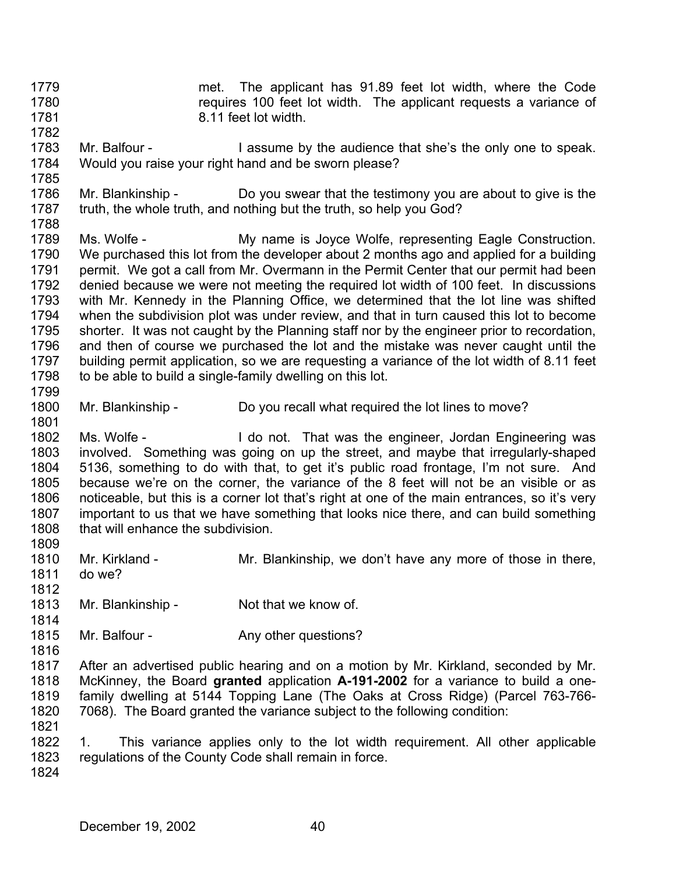- 1779 1780 1781 met. The applicant has 91.89 feet lot width, where the Code requires 100 feet lot width. The applicant requests a variance of 8.11 feet lot width.
- 1782 1783 1784 Mr. Balfour - I assume by the audience that she's the only one to speak. Would you raise your right hand and be sworn please?
- 1786 1787 Mr. Blankinship - Do you swear that the testimony you are about to give is the truth, the whole truth, and nothing but the truth, so help you God?
- 1788 1789 1790 1791 1792 1793 1794 1795 1796 1797 1798 Ms. Wolfe - My name is Joyce Wolfe, representing Eagle Construction. We purchased this lot from the developer about 2 months ago and applied for a building permit. We got a call from Mr. Overmann in the Permit Center that our permit had been denied because we were not meeting the required lot width of 100 feet. In discussions with Mr. Kennedy in the Planning Office, we determined that the lot line was shifted when the subdivision plot was under review, and that in turn caused this lot to become shorter. It was not caught by the Planning staff nor by the engineer prior to recordation, and then of course we purchased the lot and the mistake was never caught until the building permit application, so we are requesting a variance of the lot width of 8.11 feet to be able to build a single-family dwelling on this lot.
- 1800 Mr. Blankinship - Do you recall what required the lot lines to move?
- 1802 1803 1804 1805 1806 1807 1808 Ms. Wolfe - I do not. That was the engineer, Jordan Engineering was involved. Something was going on up the street, and maybe that irregularly-shaped 5136, something to do with that, to get it's public road frontage, I'm not sure. And because we're on the corner, the variance of the 8 feet will not be an visible or as noticeable, but this is a corner lot that's right at one of the main entrances, so it's very important to us that we have something that looks nice there, and can build something that will enhance the subdivision.
- 1810 Mr. Kirkland - Mr. Blankinship, we don't have any more of those in there,
- 1811 1812 do we?
- 1813 Mr. Blankinship - Not that we know of.
- 1815 Mr. Balfour - The Any other questions?
- 1816

1814

1809

1785

1799

1801

- 1817 1818 1819 1820 After an advertised public hearing and on a motion by Mr. Kirkland, seconded by Mr. McKinney, the Board **granted** application **A-191-2002** for a variance to build a onefamily dwelling at 5144 Topping Lane (The Oaks at Cross Ridge) (Parcel 763-766- 7068). The Board granted the variance subject to the following condition:
- 1822 1823 1. This variance applies only to the lot width requirement. All other applicable regulations of the County Code shall remain in force.
- 1824